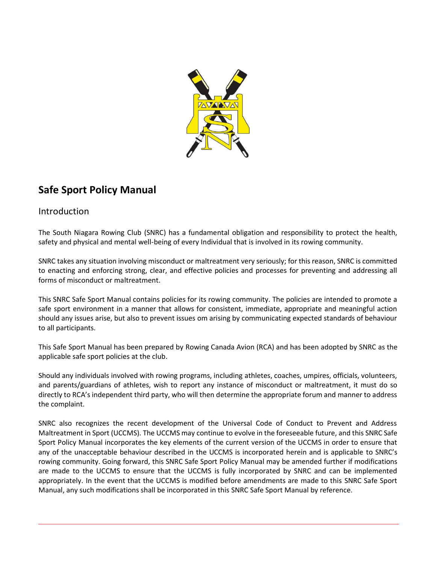

# **Safe Sport Policy Manual**

## <span id="page-0-0"></span>Introduction

The South Niagara Rowing Club (SNRC) has a fundamental obligation and responsibility to protect the health, safety and physical and mental well-being of every Individual that is involved in its rowing community.

SNRC takes any situation involving misconduct or maltreatment very seriously; for this reason, SNRC is committed to enacting and enforcing strong, clear, and effective policies and processes for preventing and addressing all forms of misconduct or maltreatment.

This SNRC Safe Sport Manual contains policies for its rowing community. The policies are intended to promote a safe sport environment in a manner that allows for consistent, immediate, appropriate and meaningful action should any issues arise, but also to prevent issues om arising by communicating expected standards of behaviour to all participants.

This Safe Sport Manual has been prepared by Rowing Canada Avion (RCA) and has been adopted by SNRC as the applicable safe sport policies at the club.

Should any individuals involved with rowing programs, including athletes, coaches, umpires, officials, volunteers, and parents/guardians of athletes, wish to report any instance of misconduct or maltreatment, it must do so directly to RCA's independent third party, who will then determine the appropriate forum and manner to address the complaint.

SNRC also recognizes the recent development of the Universal Code of Conduct to Prevent and Address Maltreatment in Sport (UCCMS). The UCCMS may continue to evolve in the foreseeable future, and this SNRC Safe Sport Policy Manual incorporates the key elements of the current version of the UCCMS in order to ensure that any of the unacceptable behaviour described in the UCCMS is incorporated herein and is applicable to SNRC's rowing community. Going forward, this SNRC Safe Sport Policy Manual may be amended further if modifications are made to the UCCMS to ensure that the UCCMS is fully incorporated by SNRC and can be implemented appropriately. In the event that the UCCMS is modified before amendments are made to this SNRC Safe Sport Manual, any such modifications shall be incorporated in this SNRC Safe Sport Manual by reference.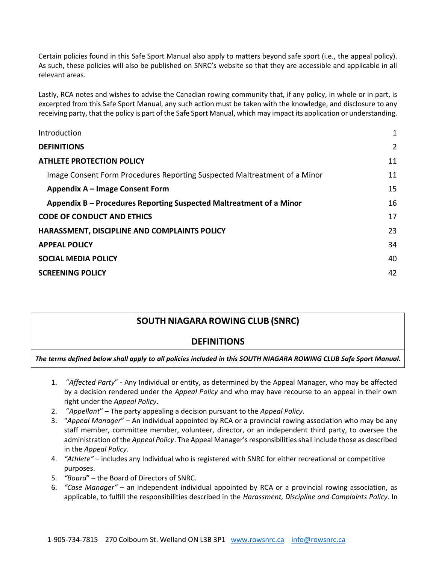Certain policies found in this Safe Sport Manual also apply to matters beyond safe sport (i.e., the appeal policy). As such, these policies will also be published on SNRC's website so that they are accessible and applicable in all relevant areas.

Lastly, RCA notes and wishes to advise the Canadian rowing community that, if any policy, in whole or in part, is excerpted from this Safe Sport Manual, any such action must be taken with the knowledge, and disclosure to any receiving party, that the policy is part of the Safe Sport Manual, which may impact its application or understanding.

| Introduction                                                              | 1  |
|---------------------------------------------------------------------------|----|
| <b>DEFINITIONS</b>                                                        | 2  |
| <b>ATHLETE PROTECTION POLICY</b>                                          | 11 |
| Image Consent Form Procedures Reporting Suspected Maltreatment of a Minor | 11 |
| Appendix A – Image Consent Form                                           | 15 |
| Appendix B – Procedures Reporting Suspected Maltreatment of a Minor       | 16 |
| <b>CODE OF CONDUCT AND ETHICS</b>                                         | 17 |
| HARASSMENT, DISCIPLINE AND COMPLAINTS POLICY                              | 23 |
| <b>APPEAL POLICY</b>                                                      | 34 |
| <b>SOCIAL MEDIA POLICY</b>                                                | 40 |
| <b>SCREENING POLICY</b>                                                   | 42 |
|                                                                           |    |

## **SOUTH NIAGARA ROWING CLUB (SNRC)**

### **DEFINITIONS**

<span id="page-1-0"></span>*The terms defined below shall apply to all policies included in this SOUTH NIAGARA ROWING CLUB Safe Sport Manual.*

- 1. "*Affected Party*" Any Individual or entity, as determined by the Appeal Manager, who may be affected by a decision rendered under the *Appeal Policy* and who may have recourse to an appeal in their own right under the *Appeal Policy*.
- 2. "*Appellant*" The party appealing a decision pursuant to the *Appeal Policy*.
- 3. "*Appeal Manager*" An individual appointed by RCA or a provincial rowing association who may be any staff member, committee member, volunteer, director, or an independent third party, to oversee the administration of the *Appeal Policy*. The Appeal Manager's responsibilities shall include those as described in the *Appeal Policy*.
- 4. *"Athlete"* includes any Individual who is registered with SNRC for either recreational or competitive purposes.
- 5. *"Board*" the Board of Directors of SNRC.
- 6. *"Case Manager"* an independent individual appointed by RCA or a provincial rowing association, as applicable, to fulfill the responsibilities described in the *Harassment, Discipline and Complaints Policy*. In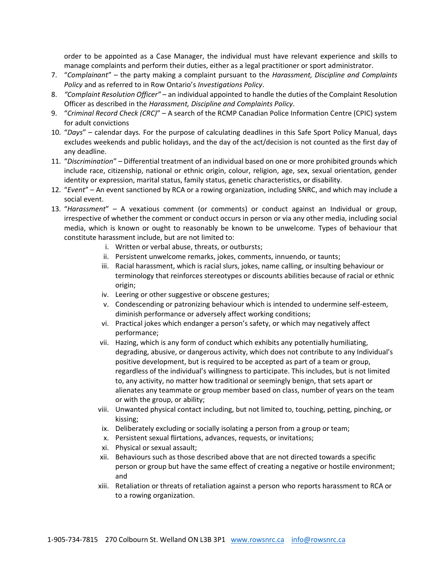order to be appointed as a Case Manager, the individual must have relevant experience and skills to manage complaints and perform their duties, either as a legal practitioner or sport administrator.

- 7. "*Complainant*" the party making a complaint pursuant to the *Harassment, Discipline and Complaints Policy* and as referred to in Row Ontario's *Investigations Policy*.
- 8. *"Complaint Resolution Officer"* an individual appointed to handle the duties of the Complaint Resolution Officer as described in the *Harassment, Discipline and Complaints Policy*.
- 9. "*Criminal Record Check (CRC)*" A search of the RCMP Canadian Police Information Centre (CPIC) system for adult convictions
- 10. "*Days*" calendar days. For the purpose of calculating deadlines in this Safe Sport Policy Manual, days excludes weekends and public holidays, and the day of the act/decision is not counted as the first day of any deadline.
- 11. "*Discrimination*" Differential treatment of an individual based on one or more prohibited grounds which include race, citizenship, national or ethnic origin, colour, religion, age, sex, sexual orientation, gender identity or expression, marital status, family status, genetic characteristics, or disability.
- 12. "*Event*" An event sanctioned by RCA or a rowing organization, including SNRC, and which may include a social event.
- 13. "*Harassment*" A vexatious comment (or comments) or conduct against an Individual or group, irrespective of whether the comment or conduct occurs in person or via any other media, including social media, which is known or ought to reasonably be known to be unwelcome. Types of behaviour that constitute harassment include, but are not limited to:
	- i. Written or verbal abuse, threats, or outbursts;
	- ii. Persistent unwelcome remarks, jokes, comments, innuendo, or taunts;
	- iii. Racial harassment, which is racial slurs, jokes, name calling, or insulting behaviour or terminology that reinforces stereotypes or discounts abilities because of racial or ethnic origin;
	- iv. Leering or other suggestive or obscene gestures;
	- v. Condescending or patronizing behaviour which is intended to undermine self-esteem, diminish performance or adversely affect working conditions;
	- vi. Practical jokes which endanger a person's safety, or which may negatively affect performance;
	- vii. Hazing, which is any form of conduct which exhibits any potentially humiliating, degrading, abusive, or dangerous activity, which does not contribute to any Individual's positive development, but is required to be accepted as part of a team or group, regardless of the individual's willingness to participate. This includes, but is not limited to, any activity, no matter how traditional or seemingly benign, that sets apart or alienates any teammate or group member based on class, number of years on the team or with the group, or ability;
	- viii. Unwanted physical contact including, but not limited to, touching, petting, pinching, or kissing;
	- ix. Deliberately excluding or socially isolating a person from a group or team;
	- x. Persistent sexual flirtations, advances, requests, or invitations;
	- xi. Physical or sexual assault;
	- xii. Behaviours such as those described above that are not directed towards a specific person or group but have the same effect of creating a negative or hostile environment; and
	- xiii. Retaliation or threats of retaliation against a person who reports harassment to RCA or to a rowing organization.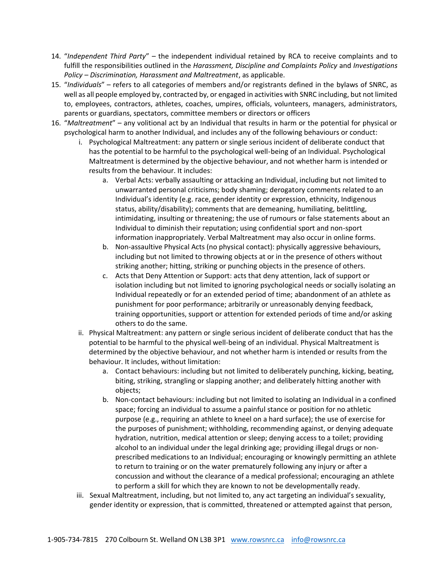- 14. "*Independent Third Party*" the independent individual retained by RCA to receive complaints and to fulfill the responsibilities outlined in the *Harassment, Discipline and Complaints Policy* and *Investigations Policy – Discrimination, Harassment and Maltreatment*, as applicable.
- 15. "*Individuals*" refers to all categories of members and/or registrants defined in the bylaws of SNRC, as well as all people employed by, contracted by, or engaged in activities with SNRC including, but not limited to, employees, contractors, athletes, coaches, umpires, officials, volunteers, managers, administrators, parents or guardians, spectators, committee members or directors or officers
- 16. "*Maltreatment*" any volitional act by an Individual that results in harm or the potential for physical or psychological harm to another Individual, and includes any of the following behaviours or conduct:
	- i. Psychological Maltreatment: any pattern or single serious incident of deliberate conduct that has the potential to be harmful to the psychological well-being of an Individual. Psychological Maltreatment is determined by the objective behaviour, and not whether harm is intended or results from the behaviour. It includes:
		- a. Verbal Acts: verbally assaulting or attacking an Individual, including but not limited to unwarranted personal criticisms; body shaming; derogatory comments related to an Individual's identity (e.g. race, gender identity or expression, ethnicity, Indigenous status, ability/disability); comments that are demeaning, humiliating, belittling, intimidating, insulting or threatening; the use of rumours or false statements about an Individual to diminish their reputation; using confidential sport and non-sport information inappropriately. Verbal Maltreatment may also occur in online forms.
		- b. Non-assaultive Physical Acts (no physical contact): physically aggressive behaviours, including but not limited to throwing objects at or in the presence of others without striking another; hitting, striking or punching objects in the presence of others.
		- c. Acts that Deny Attention or Support: acts that deny attention, lack of support or isolation including but not limited to ignoring psychological needs or socially isolating an Individual repeatedly or for an extended period of time; abandonment of an athlete as punishment for poor performance; arbitrarily or unreasonably denying feedback, training opportunities, support or attention for extended periods of time and/or asking others to do the same.
	- ii. Physical Maltreatment: any pattern or single serious incident of deliberate conduct that has the potential to be harmful to the physical well-being of an individual. Physical Maltreatment is determined by the objective behaviour, and not whether harm is intended or results from the behaviour. It includes, without limitation:
		- a. Contact behaviours: including but not limited to deliberately punching, kicking, beating, biting, striking, strangling or slapping another; and deliberately hitting another with objects;
		- b. Non-contact behaviours: including but not limited to isolating an Individual in a confined space; forcing an individual to assume a painful stance or position for no athletic purpose (e.g., requiring an athlete to kneel on a hard surface); the use of exercise for the purposes of punishment; withholding, recommending against, or denying adequate hydration, nutrition, medical attention or sleep; denying access to a toilet; providing alcohol to an individual under the legal drinking age; providing illegal drugs or nonprescribed medications to an Individual; encouraging or knowingly permitting an athlete to return to training or on the water prematurely following any injury or after a concussion and without the clearance of a medical professional; encouraging an athlete to perform a skill for which they are known to not be developmentally ready.
	- iii. Sexual Maltreatment, including, but not limited to, any act targeting an individual's sexuality, gender identity or expression, that is committed, threatened or attempted against that person,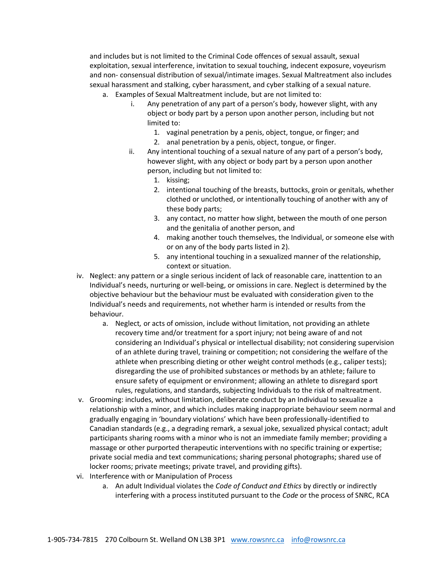and includes but is not limited to the Criminal Code offences of sexual assault, sexual exploitation, sexual interference, invitation to sexual touching, indecent exposure, voyeurism and non- consensual distribution of sexual/intimate images. Sexual Maltreatment also includes sexual harassment and stalking, cyber harassment, and cyber stalking of a sexual nature.

- a. Examples of Sexual Maltreatment include, but are not limited to:
	- i. Any penetration of any part of a person's body, however slight, with any object or body part by a person upon another person, including but not limited to:
		- 1. vaginal penetration by a penis, object, tongue, or finger; and
		- 2. anal penetration by a penis, object, tongue, or finger.
	- ii. Any intentional touching of a sexual nature of any part of a person's body, however slight, with any object or body part by a person upon another person, including but not limited to:
		- 1. kissing;
		- 2. intentional touching of the breasts, buttocks, groin or genitals, whether clothed or unclothed, or intentionally touching of another with any of these body parts;
		- 3. any contact, no matter how slight, between the mouth of one person and the genitalia of another person, and
		- 4. making another touch themselves, the Individual, or someone else with or on any of the body parts listed in 2).
		- 5. any intentional touching in a sexualized manner of the relationship, context or situation.
- iv. Neglect: any pattern or a single serious incident of lack of reasonable care, inattention to an Individual's needs, nurturing or well-being, or omissions in care. Neglect is determined by the objective behaviour but the behaviour must be evaluated with consideration given to the Individual's needs and requirements, not whether harm is intended or results from the behaviour.
	- a. Neglect*,* or acts of omission, include without limitation, not providing an athlete recovery time and/or treatment for a sport injury; not being aware of and not considering an Individual's physical or intellectual disability; not considering supervision of an athlete during travel, training or competition; not considering the welfare of the athlete when prescribing dieting or other weight control methods (e.g., caliper tests); disregarding the use of prohibited substances or methods by an athlete; failure to ensure safety of equipment or environment; allowing an athlete to disregard sport rules, regulations, and standards, subjecting Individuals to the risk of maltreatment.
- v. Grooming: includes, without limitation, deliberate conduct by an Individual to sexualize a relationship with a minor, and which includes making inappropriate behaviour seem normal and gradually engaging in 'boundary violations' which have been professionally-identified to Canadian standards (e.g., a degrading remark, a sexual joke, sexualized physical contact; adult participants sharing rooms with a minor who is not an immediate family member; providing a massage or other purported therapeutic interventions with no specific training or expertise; private social media and text communications; sharing personal photographs; shared use of locker rooms; private meetings; private travel, and providing gifts).
- vi. Interference with or Manipulation of Process
	- a. An adult Individual violates the *Code of Conduct and Ethics* by directly or indirectly interfering with a process instituted pursuant to the *Code* or the process of SNRC, RCA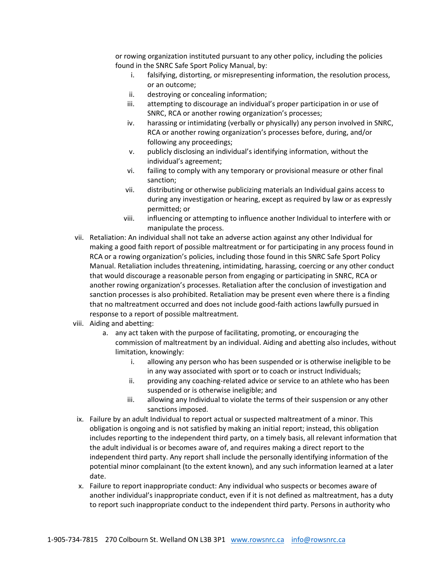or rowing organization instituted pursuant to any other policy, including the policies found in the SNRC Safe Sport Policy Manual, by:

- i. falsifying, distorting, or misrepresenting information, the resolution process, or an outcome;
- ii. destroying or concealing information;
- iii. attempting to discourage an individual's proper participation in or use of SNRC, RCA or another rowing organization's processes;
- iv. harassing or intimidating (verbally or physically) any person involved in SNRC, RCA or another rowing organization's processes before, during, and/or following any proceedings;
- v. publicly disclosing an individual's identifying information, without the individual's agreement;
- vi. failing to comply with any temporary or provisional measure or other final sanction;
- vii. distributing or otherwise publicizing materials an Individual gains access to during any investigation or hearing, except as required by law or as expressly permitted; or
- viii. influencing or attempting to influence another Individual to interfere with or manipulate the process.
- vii. Retaliation: An individual shall not take an adverse action against any other Individual for making a good faith report of possible maltreatment or for participating in any process found in RCA or a rowing organization's policies, including those found in this SNRC Safe Sport Policy Manual. Retaliation includes threatening, intimidating, harassing, coercing or any other conduct that would discourage a reasonable person from engaging or participating in SNRC, RCA or another rowing organization's processes. Retaliation after the conclusion of investigation and sanction processes is also prohibited. Retaliation may be present even where there is a finding that no maltreatment occurred and does not include good-faith actions lawfully pursued in response to a report of possible maltreatment*.*
- viii. Aiding and abetting:
	- a. any act taken with the purpose of facilitating, promoting, or encouraging the commission of maltreatment by an individual. Aiding and abetting also includes, without limitation, knowingly:
		- i. allowing any person who has been suspended or is otherwise ineligible to be in any way associated with sport or to coach or instruct Individuals;
		- ii. providing any coaching-related advice or service to an athlete who has been suspended or is otherwise ineligible; and
		- iii. allowing any Individual to violate the terms of their suspension or any other sanctions imposed.
- ix. Failure by an adult Individual to report actual or suspected maltreatment of a minor. This obligation is ongoing and is not satisfied by making an initial report; instead, this obligation includes reporting to the independent third party, on a timely basis, all relevant information that the adult individual is or becomes aware of, and requires making a direct report to the independent third party. Any report shall include the personally identifying information of the potential minor complainant (to the extent known), and any such information learned at a later date.
- x. Failure to report inappropriate conduct: Any individual who suspects or becomes aware of another individual's inappropriate conduct, even if it is not defined as maltreatment, has a duty to report such inappropriate conduct to the independent third party. Persons in authority who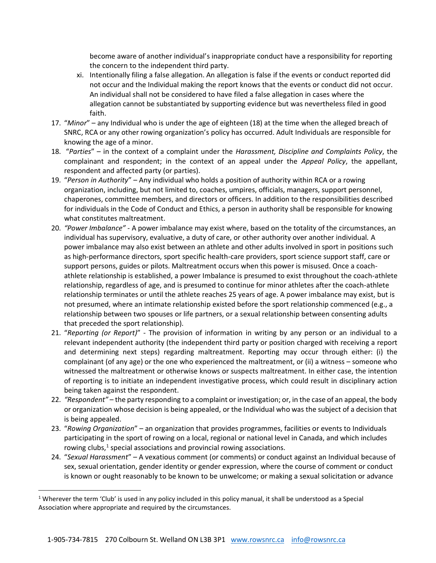become aware of another individual's inappropriate conduct have a responsibility for reporting the concern to the independent third party.

- xi. Intentionally filing a false allegation. An allegation is false if the events or conduct reported did not occur and the Individual making the report knows that the events or conduct did not occur. An individual shall not be considered to have filed a false allegation in cases where the allegation cannot be substantiated by supporting evidence but was nevertheless filed in good faith.
- 17. "*Minor*" any Individual who is under the age of eighteen (18) at the time when the alleged breach of SNRC, RCA or any other rowing organization's policy has occurred. Adult Individuals are responsible for knowing the age of a minor.
- 18. "*Parties*" in the context of a complaint under the *Harassment, Discipline and Complaints Policy*, the complainant and respondent; in the context of an appeal under the *Appeal Policy*, the appellant, respondent and affected party (or parties).
- 19. "*Person in Authority*" Any individual who holds a position of authority within RCA or a rowing organization, including, but not limited to, coaches, umpires, officials, managers, support personnel, chaperones, committee members, and directors or officers. In addition to the responsibilities described for individuals in the Code of Conduct and Ethics, a person in authority shall be responsible for knowing what constitutes maltreatment.
- 20. *"Power Imbalance"* A power imbalance may exist where, based on the totality of the circumstances, an individual has supervisory, evaluative, a duty of care, or other authority over another individual*.* A power imbalance may also exist between an athlete and other adults involved in sport in positions such as high-performance directors, sport specific health-care providers, sport science support staff, care or support persons, guides or pilots. Maltreatment occurs when this power is misused. Once a coachathlete relationship is established, a power Imbalance is presumed to exist throughout the coach-athlete relationship, regardless of age, and is presumed to continue for minor athletes after the coach-athlete relationship terminates or until the athlete reaches 25 years of age. A power imbalance may exist, but is not presumed, where an intimate relationship existed before the sport relationship commenced (e.g., a relationship between two spouses or life partners, or a sexual relationship between consenting adults that preceded the sport relationship).
- 21. "*Reporting (or Report)*" The provision of information in writing by any person or an individual to a relevant independent authority (the independent third party or position charged with receiving a report and determining next steps) regarding maltreatment. Reporting may occur through either: (i) the complainant (of any age) or the one who experienced the maltreatment, or (ii) a witness – someone who witnessed the maltreatment or otherwise knows or suspects maltreatment. In either case, the intention of reporting is to initiate an independent investigative process, which could result in disciplinary action being taken against the respondent.
- 22. *"Respondent"* the party responding to a complaint or investigation; or, in the case of an appeal, the body or organization whose decision is being appealed, or the Individual who was the subject of a decision that is being appealed.
- 23. "*Rowing Organization*" an organization that provides programmes, facilities or events to Individuals participating in the sport of rowing on a local, regional or national level in Canada, and which includes rowing clubs, $<sup>1</sup>$  special associations and provincial rowing associations.</sup>
- 24. "*Sexual Harassment*" A vexatious comment (or comments) or conduct against an Individual because of sex, sexual orientation, gender identity or gender expression, where the course of comment or conduct is known or ought reasonably to be known to be unwelcome; or making a sexual solicitation or advance

<sup>1</sup> Wherever the term 'Club' is used in any policy included in this policy manual, it shall be understood as a Special Association where appropriate and required by the circumstances.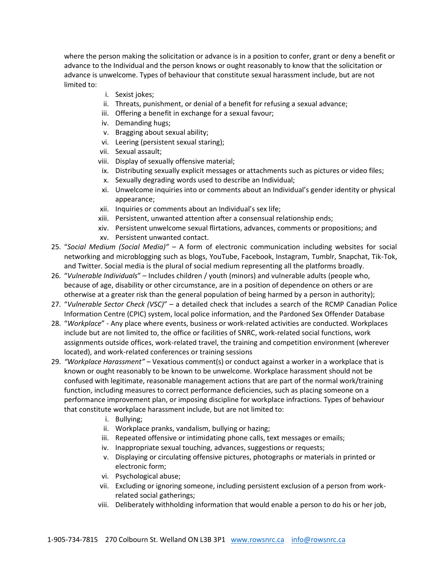where the person making the solicitation or advance is in a position to confer, grant or deny a benefit or advance to the Individual and the person knows or ought reasonably to know that the solicitation or advance is unwelcome. Types of behaviour that constitute sexual harassment include, but are not limited to:

- i. Sexist jokes;
- ii. Threats, punishment, or denial of a benefit for refusing a sexual advance;
- iii. Offering a benefit in exchange for a sexual favour;
- iv. Demanding hugs;
- v. Bragging about sexual ability;
- vi. Leering (persistent sexual staring);
- vii. Sexual assault;
- viii. Display of sexually offensive material;
- ix. Distributing sexually explicit messages or attachments such as pictures or video files;
- x. Sexually degrading words used to describe an Individual;
- xi. Unwelcome inquiries into or comments about an Individual's gender identity or physical appearance;
- xii. Inquiries or comments about an Individual's sex life;
- xiii. Persistent, unwanted attention after a consensual relationship ends;
- xiv. Persistent unwelcome sexual flirtations, advances, comments or propositions; and
- xv. Persistent unwanted contact.
- 25. "*Social Medium (Social Media)"* A form of electronic communication including websites for social networking and microblogging such as blogs, YouTube, Facebook, Instagram, Tumblr, Snapchat, Tik-Tok, and Twitter. Social media is the plural of social medium representing all the platforms broadly.
- 26. "*Vulnerable Individuals*" Includes children / youth (minors) and vulnerable adults (people who, because of age, disability or other circumstance, are in a position of dependence on others or are otherwise at a greater risk than the general population of being harmed by a person in authority);
- 27. "*Vulnerable Sector Check (VSC)*" a detailed check that includes a search of the RCMP Canadian Police Information Centre (CPIC) system, local police information, and the Pardoned Sex Offender Database
- 28. "*Workplace*" Any place where events, business or work-related activities are conducted. Workplaces include but are not limited to, the office or facilities of SNRC, work-related social functions, work assignments outside offices, work-related travel, the training and competition environment (wherever located), and work-related conferences or training sessions
- 29. *"Workplace Harassment"* Vexatious comment(s) or conduct against a worker in a workplace that is known or ought reasonably to be known to be unwelcome. Workplace harassment should not be confused with legitimate, reasonable management actions that are part of the normal work/training function, including measures to correct performance deficiencies, such as placing someone on a performance improvement plan, or imposing discipline for workplace infractions. Types of behaviour that constitute workplace harassment include, but are not limited to:
	- i. Bullying;
	- ii. Workplace pranks, vandalism, bullying or hazing;
	- iii. Repeated offensive or intimidating phone calls, text messages or emails;
	- iv. Inappropriate sexual touching, advances, suggestions or requests;
	- v. Displaying or circulating offensive pictures, photographs or materials in printed or electronic form;
	- vi. Psychological abuse;
	- vii. Excluding or ignoring someone, including persistent exclusion of a person from workrelated social gatherings;
	- viii. Deliberately withholding information that would enable a person to do his or her job,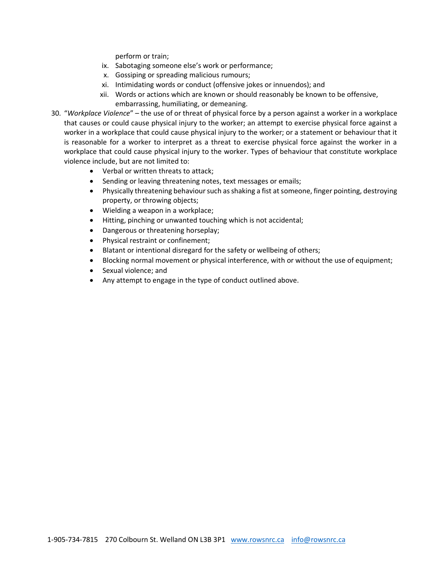perform or train;

- ix. Sabotaging someone else's work or performance;
- x. Gossiping or spreading malicious rumours;
- xi. Intimidating words or conduct (offensive jokes or innuendos); and
- xii. Words or actions which are known or should reasonably be known to be offensive, embarrassing, humiliating, or demeaning.
- 30. "*Workplace Violence*" the use of or threat of physical force by a person against a worker in a workplace that causes or could cause physical injury to the worker; an attempt to exercise physical force against a worker in a workplace that could cause physical injury to the worker; or a statement or behaviour that it is reasonable for a worker to interpret as a threat to exercise physical force against the worker in a workplace that could cause physical injury to the worker. Types of behaviour that constitute workplace violence include, but are not limited to:
	- Verbal or written threats to attack;
	- Sending or leaving threatening notes, text messages or emails;
	- Physically threatening behaviour such as shaking a fist at someone, finger pointing, destroying property, or throwing objects;
	- Wielding a weapon in a workplace;
	- Hitting, pinching or unwanted touching which is not accidental;
	- Dangerous or threatening horseplay;
	- Physical restraint or confinement;
	- Blatant or intentional disregard for the safety or wellbeing of others;
	- Blocking normal movement or physical interference, with or without the use of equipment;
	- Sexual violence; and
	- Any attempt to engage in the type of conduct outlined above.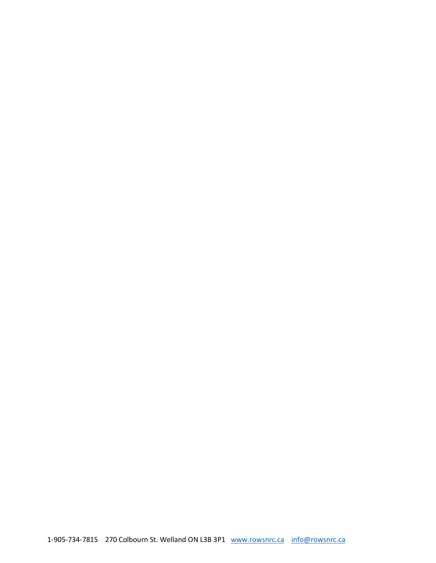1-905-734-7815 270 Colbourn St. Welland ON L3B 3P1 [www.rowsnrc.ca](http://www.rowsnrc.ca/) [info@rowsnrc.ca](mailto:info@rowsnrc.ca)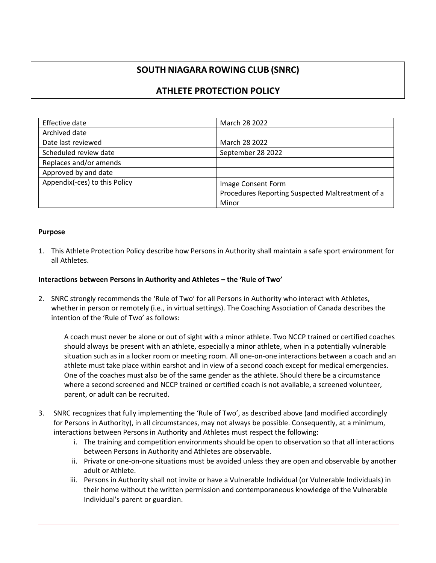## **SOUTH NIAGARA ROWING CLUB (SNRC)**

## <span id="page-10-1"></span>**ATHLETE PROTECTION POLICY**

<span id="page-10-0"></span>

| Effective date                | March 28 2022                                    |
|-------------------------------|--------------------------------------------------|
| Archived date                 |                                                  |
| Date last reviewed            | March 28 2022                                    |
| Scheduled review date         | September 28 2022                                |
| Replaces and/or amends        |                                                  |
| Approved by and date          |                                                  |
| Appendix(-ces) to this Policy | Image Consent Form                               |
|                               | Procedures Reporting Suspected Maltreatment of a |
|                               | Minor                                            |

### **Purpose**

1. This Athlete Protection Policy describe how Persons in Authority shall maintain a safe sport environment for all Athletes.

### **Interactions between Persons in Authority and Athletes – the 'Rule of Two'**

2. SNRC strongly recommends the 'Rule of Two' for all Persons in Authority who interact with Athletes, whether in person or remotely (i.e., in virtual settings). The Coaching Association of Canada describes the intention of the 'Rule of Two' as follows:

A coach must never be alone or out of sight with a minor athlete. Two NCCP trained or certified coaches should always be present with an athlete, especially a minor athlete, when in a potentially vulnerable situation such as in a locker room or meeting room. All one-on-one interactions between a coach and an athlete must take place within earshot and in view of a second coach except for medical emergencies. One of the coaches must also be of the same gender as the athlete. Should there be a circumstance where a second screened and NCCP trained or certified coach is not available, a screened volunteer, parent, or adult can be recruited.

- 3. SNRC recognizes that fully implementing the 'Rule of Two', as described above (and modified accordingly for Persons in Authority), in all circumstances, may not always be possible. Consequently, at a minimum, interactions between Persons in Authority and Athletes must respect the following:
	- i. The training and competition environments should be open to observation so that all interactions between Persons in Authority and Athletes are observable.
	- ii. Private or one-on-one situations must be avoided unless they are open and observable by another adult or Athlete.
	- iii. Persons in Authority shall not invite or have a Vulnerable Individual (or Vulnerable Individuals) in their home without the written permission and contemporaneous knowledge of the Vulnerable Individual's parent or guardian.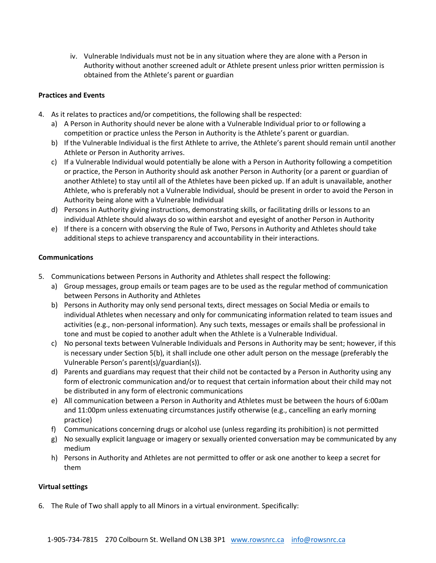iv. Vulnerable Individuals must not be in any situation where they are alone with a Person in Authority without another screened adult or Athlete present unless prior written permission is obtained from the Athlete's parent or guardian

### **Practices and Events**

- 4. As it relates to practices and/or competitions, the following shall be respected:
	- a) A Person in Authority should never be alone with a Vulnerable Individual prior to or following a competition or practice unless the Person in Authority is the Athlete's parent or guardian.
	- b) If the Vulnerable Individual is the first Athlete to arrive, the Athlete's parent should remain until another Athlete or Person in Authority arrives.
	- c) If a Vulnerable Individual would potentially be alone with a Person in Authority following a competition or practice, the Person in Authority should ask another Person in Authority (or a parent or guardian of another Athlete) to stay until all of the Athletes have been picked up. If an adult is unavailable, another Athlete, who is preferably not a Vulnerable Individual, should be present in order to avoid the Person in Authority being alone with a Vulnerable Individual
	- d) Persons in Authority giving instructions, demonstrating skills, or facilitating drills or lessons to an individual Athlete should always do so within earshot and eyesight of another Person in Authority
	- e) If there is a concern with observing the Rule of Two, Persons in Authority and Athletes should take additional steps to achieve transparency and accountability in their interactions.

### **Communications**

- 5. Communications between Persons in Authority and Athletes shall respect the following:
	- a) Group messages, group emails or team pages are to be used as the regular method of communication between Persons in Authority and Athletes
	- b) Persons in Authority may only send personal texts, direct messages on Social Media or emails to individual Athletes when necessary and only for communicating information related to team issues and activities (e.g., non-personal information). Any such texts, messages or emails shall be professional in tone and must be copied to another adult when the Athlete is a Vulnerable Individual.
	- c) No personal texts between Vulnerable Individuals and Persons in Authority may be sent; however, if this is necessary under Section 5(b), it shall include one other adult person on the message (preferably the Vulnerable Person's parent(s)/guardian(s)).
	- d) Parents and guardians may request that their child not be contacted by a Person in Authority using any form of electronic communication and/or to request that certain information about their child may not be distributed in any form of electronic communications
	- e) All communication between a Person in Authority and Athletes must be between the hours of 6:00am and 11:00pm unless extenuating circumstances justify otherwise (e.g., cancelling an early morning practice)
	- f) Communications concerning drugs or alcohol use (unless regarding its prohibition) is not permitted
	- g) No sexually explicit language or imagery or sexually oriented conversation may be communicated by any medium
	- h) Persons in Authority and Athletes are not permitted to offer or ask one another to keep a secret for them

### **Virtual settings**

6. The Rule of Two shall apply to all Minors in a virtual environment. Specifically: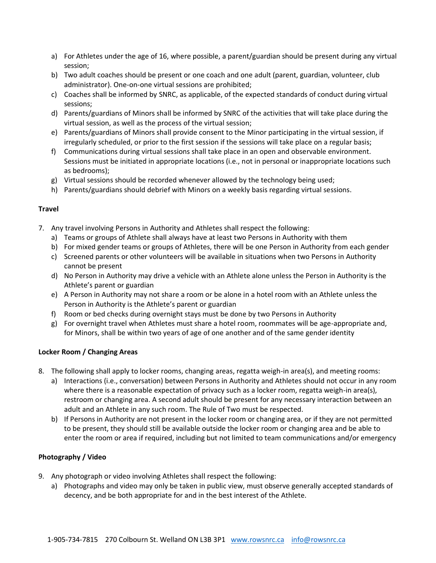- a) For Athletes under the age of 16, where possible, a parent/guardian should be present during any virtual session;
- b) Two adult coaches should be present or one coach and one adult (parent, guardian, volunteer, club administrator). One-on-one virtual sessions are prohibited;
- c) Coaches shall be informed by SNRC, as applicable, of the expected standards of conduct during virtual sessions;
- d) Parents/guardians of Minors shall be informed by SNRC of the activities that will take place during the virtual session, as well as the process of the virtual session;
- e) Parents/guardians of Minors shall provide consent to the Minor participating in the virtual session, if irregularly scheduled, or prior to the first session if the sessions will take place on a regular basis;
- f) Communications during virtual sessions shall take place in an open and observable environment. Sessions must be initiated in appropriate locations (i.e., not in personal or inappropriate locations such as bedrooms);
- g) Virtual sessions should be recorded whenever allowed by the technology being used;
- h) Parents/guardians should debrief with Minors on a weekly basis regarding virtual sessions.

### **Travel**

- 7. Any travel involving Persons in Authority and Athletes shall respect the following:
	- a) Teams or groups of Athlete shall always have at least two Persons in Authority with them
	- b) For mixed gender teams or groups of Athletes, there will be one Person in Authority from each gender
	- c) Screened parents or other volunteers will be available in situations when two Persons in Authority cannot be present
	- d) No Person in Authority may drive a vehicle with an Athlete alone unless the Person in Authority is the Athlete's parent or guardian
	- e) A Person in Authority may not share a room or be alone in a hotel room with an Athlete unless the Person in Authority is the Athlete's parent or guardian
	- f) Room or bed checks during overnight stays must be done by two Persons in Authority
	- g) For overnight travel when Athletes must share a hotel room, roommates will be age-appropriate and, for Minors, shall be within two years of age of one another and of the same gender identity

### **Locker Room / Changing Areas**

- 8. The following shall apply to locker rooms, changing areas, regatta weigh-in area(s), and meeting rooms:
	- a) Interactions (i.e., conversation) between Persons in Authority and Athletes should not occur in any room where there is a reasonable expectation of privacy such as a locker room, regatta weigh-in area(s), restroom or changing area. A second adult should be present for any necessary interaction between an adult and an Athlete in any such room. The Rule of Two must be respected.
	- b) If Persons in Authority are not present in the locker room or changing area, or if they are not permitted to be present, they should still be available outside the locker room or changing area and be able to enter the room or area if required, including but not limited to team communications and/or emergency

### **Photography / Video**

- 9. Any photograph or video involving Athletes shall respect the following:
	- a) Photographs and video may only be taken in public view, must observe generally accepted standards of decency, and be both appropriate for and in the best interest of the Athlete.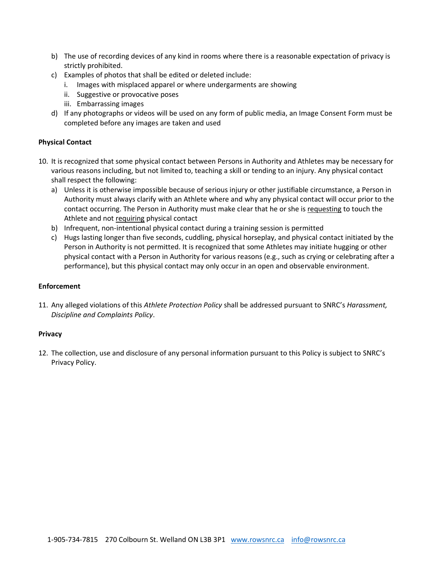- b) The use of recording devices of any kind in rooms where there is a reasonable expectation of privacy is strictly prohibited.
- c) Examples of photos that shall be edited or deleted include:
	- i. Images with misplaced apparel or where undergarments are showing
	- ii. Suggestive or provocative poses
	- iii. Embarrassing images
- d) If any photographs or videos will be used on any form of public media, an Image Consent Form must be completed before any images are taken and used

#### **Physical Contact**

- 10. It is recognized that some physical contact between Persons in Authority and Athletes may be necessary for various reasons including, but not limited to, teaching a skill or tending to an injury. Any physical contact shall respect the following:
	- a) Unless it is otherwise impossible because of serious injury or other justifiable circumstance, a Person in Authority must always clarify with an Athlete where and why any physical contact will occur prior to the contact occurring. The Person in Authority must make clear that he or she is requesting to touch the Athlete and not requiring physical contact
	- b) Infrequent, non-intentional physical contact during a training session is permitted
	- c) Hugs lasting longer than five seconds, cuddling, physical horseplay, and physical contact initiated by the Person in Authority is not permitted. It is recognized that some Athletes may initiate hugging or other physical contact with a Person in Authority for various reasons (e.g., such as crying or celebrating after a performance), but this physical contact may only occur in an open and observable environment.

#### **Enforcement**

11. Any alleged violations of this *Athlete Protection Policy* shall be addressed pursuant to SNRC's *Harassment, Discipline and Complaints Policy*.

#### **Privacy**

12. The collection, use and disclosure of any personal information pursuant to this Policy is subject to SNRC's Privacy Policy.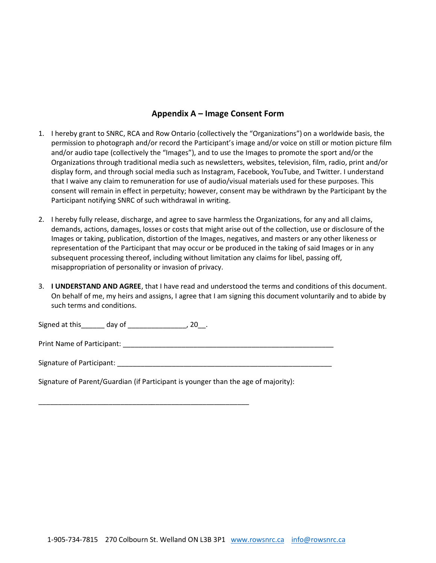## **Appendix A – Image Consent Form**

- <span id="page-14-0"></span>1. I hereby grant to SNRC, RCA and Row Ontario (collectively the "Organizations") on a worldwide basis, the permission to photograph and/or record the Participant's image and/or voice on still or motion picture film and/or audio tape (collectively the "Images"), and to use the Images to promote the sport and/or the Organizations through traditional media such as newsletters, websites, television, film, radio, print and/or display form, and through social media such as Instagram, Facebook, YouTube, and Twitter. I understand that I waive any claim to remuneration for use of audio/visual materials used for these purposes. This consent will remain in effect in perpetuity; however, consent may be withdrawn by the Participant by the Participant notifying SNRC of such withdrawal in writing.
- 2. I hereby fully release, discharge, and agree to save harmless the Organizations, for any and all claims, demands, actions, damages, losses or costs that might arise out of the collection, use or disclosure of the Images or taking, publication, distortion of the Images, negatives, and masters or any other likeness or representation of the Participant that may occur or be produced in the taking of said Images or in any subsequent processing thereof, including without limitation any claims for libel, passing off, misappropriation of personality or invasion of privacy.
- 3. **I UNDERSTAND AND AGREE**, that I have read and understood the terms and conditions of this document. On behalf of me, my heirs and assigns, I agree that I am signing this document voluntarily and to abide by such terms and conditions.

Signed at this\_\_\_\_\_\_ day of \_\_\_\_\_\_\_\_\_\_\_\_\_\_\_, 20\_\_.

Print Name of Participant: \_\_\_\_\_\_\_\_\_\_\_\_\_\_\_\_\_\_\_\_\_\_\_\_\_\_\_\_\_\_\_\_\_\_\_\_\_\_\_\_\_\_\_\_\_\_\_\_\_\_\_\_\_\_

\_\_\_\_\_\_\_\_\_\_\_\_\_\_\_\_\_\_\_\_\_\_\_\_\_\_\_\_\_\_\_\_\_\_\_\_\_\_\_\_\_\_\_\_\_\_\_\_\_\_\_\_\_\_

Signature of Participant: \_\_\_\_\_\_\_\_\_\_\_\_\_\_\_\_\_\_\_\_\_\_\_\_\_\_\_\_\_\_\_\_\_\_\_\_\_\_\_\_\_\_\_\_\_\_\_\_\_\_\_\_\_\_\_

Signature of Parent/Guardian (if Participant is younger than the age of majority):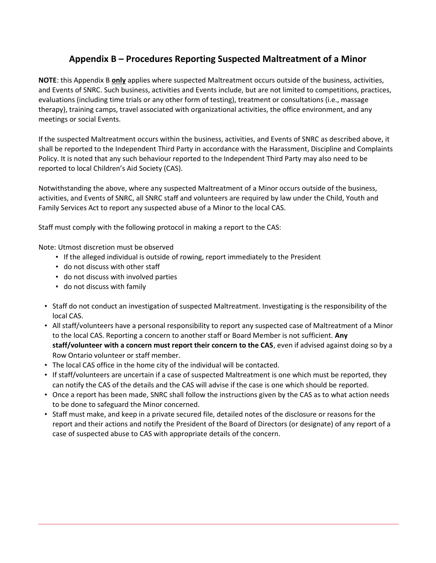## **Appendix B – Procedures Reporting Suspected Maltreatment of a Minor**

<span id="page-15-0"></span>**NOTE**: this Appendix B **only** applies where suspected Maltreatment occurs outside of the business, activities, and Events of SNRC. Such business, activities and Events include, but are not limited to competitions, practices, evaluations (including time trials or any other form of testing), treatment or consultations (i.e., massage therapy), training camps, travel associated with organizational activities, the office environment, and any meetings or social Events.

If the suspected Maltreatment occurs within the business, activities, and Events of SNRC as described above, it shall be reported to the Independent Third Party in accordance with the Harassment, Discipline and Complaints Policy. It is noted that any such behaviour reported to the Independent Third Party may also need to be reported to local Children's Aid Society (CAS).

Notwithstanding the above, where any suspected Maltreatment of a Minor occurs outside of the business, activities, and Events of SNRC, all SNRC staff and volunteers are required by law under the Child, Youth and Family Services Act to report any suspected abuse of a Minor to the local CAS.

Staff must comply with the following protocol in making a report to the CAS:

Note: Utmost discretion must be observed

- If the alleged individual is outside of rowing, report immediately to the President
- do not discuss with other staff
- do not discuss with involved parties
- do not discuss with family
- Staff do not conduct an investigation of suspected Maltreatment. Investigating is the responsibility of the local CAS.
- All staff/volunteers have a personal responsibility to report any suspected case of Maltreatment of a Minor to the local CAS. Reporting a concern to another staff or Board Member is not sufficient. **Any staff/volunteer with a concern must report their concern to the CAS**, even if advised against doing so by a Row Ontario volunteer or staff member.
- The local CAS office in the home city of the individual will be contacted.
- If staff/volunteers are uncertain if a case of suspected Maltreatment is one which must be reported, they can notify the CAS of the details and the CAS will advise if the case is one which should be reported.
- Once a report has been made, SNRC shall follow the instructions given by the CAS as to what action needs to be done to safeguard the Minor concerned.
- Staff must make, and keep in a private secured file, detailed notes of the disclosure or reasons for the report and their actions and notify the President of the Board of Directors (or designate) of any report of a case of suspected abuse to CAS with appropriate details of the concern.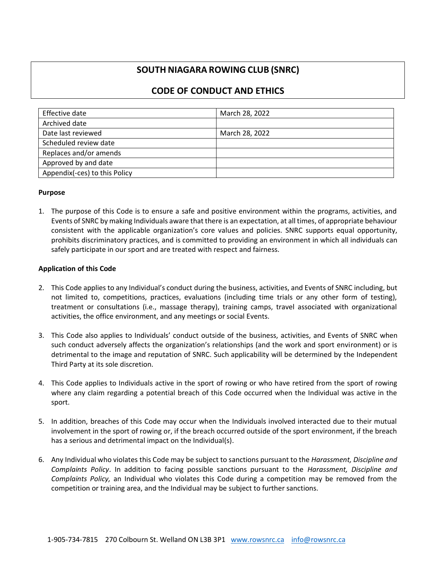## **SOUTH NIAGARA ROWING CLUB (SNRC)**

## **CODE OF CONDUCT AND ETHICS**

<span id="page-16-0"></span>

| Effective date                | March 28, 2022 |
|-------------------------------|----------------|
| Archived date                 |                |
| Date last reviewed            | March 28, 2022 |
| Scheduled review date         |                |
| Replaces and/or amends        |                |
| Approved by and date          |                |
| Appendix(-ces) to this Policy |                |

#### **Purpose**

1. The purpose of this Code is to ensure a safe and positive environment within the programs, activities, and Events of SNRC by making Individuals aware that there is an expectation, at all times, of appropriate behaviour consistent with the applicable organization's core values and policies. SNRC supports equal opportunity, prohibits discriminatory practices, and is committed to providing an environment in which all individuals can safely participate in our sport and are treated with respect and fairness.

#### **Application of this Code**

- 2. This Code applies to any Individual's conduct during the business, activities, and Events of SNRC including, but not limited to, competitions, practices, evaluations (including time trials or any other form of testing), treatment or consultations (i.e., massage therapy), training camps, travel associated with organizational activities, the office environment, and any meetings or social Events.
- 3. This Code also applies to Individuals' conduct outside of the business, activities, and Events of SNRC when such conduct adversely affects the organization's relationships (and the work and sport environment) or is detrimental to the image and reputation of SNRC. Such applicability will be determined by the Independent Third Party at its sole discretion.
- 4. This Code applies to Individuals active in the sport of rowing or who have retired from the sport of rowing where any claim regarding a potential breach of this Code occurred when the Individual was active in the sport.
- 5. In addition, breaches of this Code may occur when the Individuals involved interacted due to their mutual involvement in the sport of rowing or, if the breach occurred outside of the sport environment, if the breach has a serious and detrimental impact on the Individual(s).
- 6. Any Individual who violates this Code may be subject to sanctions pursuant to the *Harassment, Discipline and Complaints Policy*. In addition to facing possible sanctions pursuant to the *Harassment, Discipline and Complaints Policy,* an Individual who violates this Code during a competition may be removed from the competition or training area, and the Individual may be subject to further sanctions.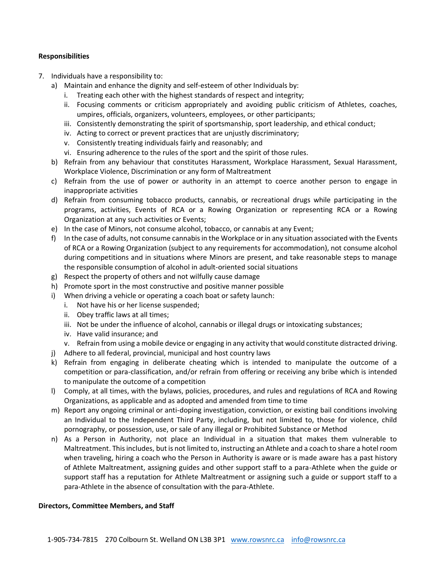#### **Responsibilities**

- 7. Individuals have a responsibility to:
	- a) Maintain and enhance the dignity and self-esteem of other Individuals by:
		- i. Treating each other with the highest standards of respect and integrity;
		- ii. Focusing comments or criticism appropriately and avoiding public criticism of Athletes, coaches, umpires, officials, organizers, volunteers, employees, or other participants;
		- iii. Consistently demonstrating the spirit of sportsmanship, sport leadership, and ethical conduct;
		- iv. Acting to correct or prevent practices that are unjustly discriminatory;
		- v. Consistently treating individuals fairly and reasonably; and
		- vi. Ensuring adherence to the rules of the sport and the spirit of those rules.
	- b) Refrain from any behaviour that constitutes Harassment, Workplace Harassment, Sexual Harassment, Workplace Violence, Discrimination or any form of Maltreatment
	- c) Refrain from the use of power or authority in an attempt to coerce another person to engage in inappropriate activities
	- d) Refrain from consuming tobacco products, cannabis, or recreational drugs while participating in the programs, activities, Events of RCA or a Rowing Organization or representing RCA or a Rowing Organization at any such activities or Events;
	- e) In the case of Minors, not consume alcohol, tobacco, or cannabis at any Event;
	- f) In the case of adults, not consume cannabis in the Workplace or in any situation associated with the Events of RCA or a Rowing Organization (subject to any requirements for accommodation), not consume alcohol during competitions and in situations where Minors are present, and take reasonable steps to manage the responsible consumption of alcohol in adult-oriented social situations
	- g) Respect the property of others and not wilfully cause damage
	- h) Promote sport in the most constructive and positive manner possible
	- i) When driving a vehicle or operating a coach boat or safety launch:
		- i. Not have his or her license suspended;
		- ii. Obey traffic laws at all times;
		- iii. Not be under the influence of alcohol, cannabis or illegal drugs or intoxicating substances;
		- iv. Have valid insurance; and
		- v. Refrain from using a mobile device or engaging in any activity that would constitute distracted driving.
	- j) Adhere to all federal, provincial, municipal and host country laws
	- k) Refrain from engaging in deliberate cheating which is intended to manipulate the outcome of a competition or para-classification, and/or refrain from offering or receiving any bribe which is intended to manipulate the outcome of a competition
	- l) Comply, at all times, with the bylaws, policies, procedures, and rules and regulations of RCA and Rowing Organizations, as applicable and as adopted and amended from time to time
	- m) Report any ongoing criminal or anti-doping investigation, conviction, or existing bail conditions involving an Individual to the Independent Third Party, including, but not limited to, those for violence, child pornography, or possession, use, or sale of any illegal or Prohibited Substance or Method
	- n) As a Person in Authority, not place an Individual in a situation that makes them vulnerable to Maltreatment. This includes, but is not limited to, instructing an Athlete and a coach to share a hotel room when traveling, hiring a coach who the Person in Authority is aware or is made aware has a past history of Athlete Maltreatment, assigning guides and other support staff to a para-Athlete when the guide or support staff has a reputation for Athlete Maltreatment or assigning such a guide or support staff to a para-Athlete in the absence of consultation with the para-Athlete.

### **Directors, Committee Members, and Staff**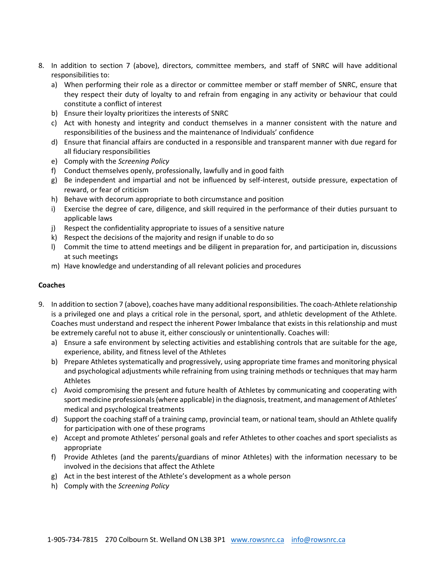- 8. In addition to section 7 (above), directors, committee members, and staff of SNRC will have additional responsibilities to:
	- a) When performing their role as a director or committee member or staff member of SNRC, ensure that they respect their duty of loyalty to and refrain from engaging in any activity or behaviour that could constitute a conflict of interest
	- b) Ensure their loyalty prioritizes the interests of SNRC
	- c) Act with honesty and integrity and conduct themselves in a manner consistent with the nature and responsibilities of the business and the maintenance of Individuals' confidence
	- d) Ensure that financial affairs are conducted in a responsible and transparent manner with due regard for all fiduciary responsibilities
	- e) Comply with the *Screening Policy*
	- f) Conduct themselves openly, professionally, lawfully and in good faith
	- g) Be independent and impartial and not be influenced by self-interest, outside pressure, expectation of reward, or fear of criticism
	- h) Behave with decorum appropriate to both circumstance and position
	- i) Exercise the degree of care, diligence, and skill required in the performance of their duties pursuant to applicable laws
	- j) Respect the confidentiality appropriate to issues of a sensitive nature
	- k) Respect the decisions of the majority and resign if unable to do so
	- l) Commit the time to attend meetings and be diligent in preparation for, and participation in, discussions at such meetings
	- m) Have knowledge and understanding of all relevant policies and procedures

### **Coaches**

- 9. In addition to section 7 (above), coaches have many additional responsibilities. The coach-Athlete relationship is a privileged one and plays a critical role in the personal, sport, and athletic development of the Athlete. Coaches must understand and respect the inherent Power Imbalance that exists in this relationship and must be extremely careful not to abuse it, either consciously or unintentionally. Coaches will:
	- a) Ensure a safe environment by selecting activities and establishing controls that are suitable for the age, experience, ability, and fitness level of the Athletes
	- b) Prepare Athletes systematically and progressively, using appropriate time frames and monitoring physical and psychological adjustments while refraining from using training methods or techniques that may harm Athletes
	- c) Avoid compromising the present and future health of Athletes by communicating and cooperating with sport medicine professionals (where applicable) in the diagnosis, treatment, and management of Athletes' medical and psychological treatments
	- d) Support the coaching staff of a training camp, provincial team, or national team, should an Athlete qualify for participation with one of these programs
	- e) Accept and promote Athletes' personal goals and refer Athletes to other coaches and sport specialists as appropriate
	- f) Provide Athletes (and the parents/guardians of minor Athletes) with the information necessary to be involved in the decisions that affect the Athlete
	- g) Act in the best interest of the Athlete's development as a whole person
	- h) Comply with the *Screening Policy*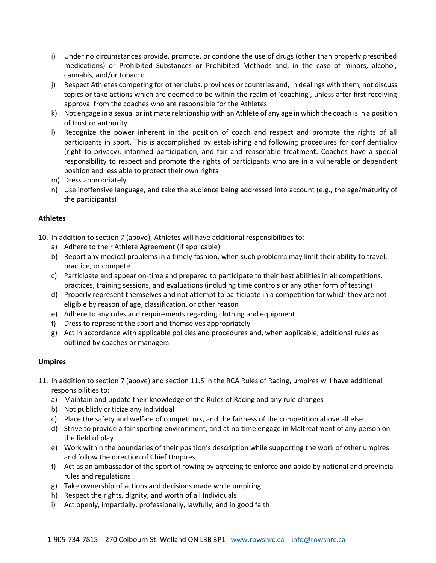- i) Under no circumstances provide, promote, or condone the use of drugs (other than properly prescribed medications) or Prohibited Substances or Prohibited Methods and, in the case of minors, alcohol, cannabis, and/or tobacco
- j) Respect Athletes competing for other clubs, provinces or countries and, in dealings with them, not discuss topics or take actions which are deemed to be within the realm of 'coaching', unless after first receiving approval from the coaches who are responsible for the Athletes
- k) Not engage in a sexual or intimate relationship with an Athlete of any age in which the coach is in a position of trust or authority
- l) Recognize the power inherent in the position of coach and respect and promote the rights of all participants in sport. This is accomplished by establishing and following procedures for confidentiality (right to privacy), informed participation, and fair and reasonable treatment. Coaches have a special responsibility to respect and promote the rights of participants who are in a vulnerable or dependent position and less able to protect their own rights
- m) Dress appropriately
- n) Use inoffensive language, and take the audience being addressed into account (e.g., the age/maturity of the participants)

### **Athletes**

- 10. In addition to section 7 (above), Athletes will have additional responsibilities to:
	- a) Adhere to their Athlete Agreement (if applicable)
	- b) Report any medical problems in a timely fashion, when such problems may limit their ability to travel, practice, or compete
	- c) Participate and appear on-time and prepared to participate to their best abilities in all competitions, practices, training sessions, and evaluations (including time controls or any other form of testing)
	- d) Properly represent themselves and not attempt to participate in a competition for which they are not eligible by reason of age, classification, or other reason
	- e) Adhere to any rules and requirements regarding clothing and equipment
	- f) Dress to represent the sport and themselves appropriately
	- g) Act in accordance with applicable policies and procedures and, when applicable, additional rules as outlined by coaches or managers

### **Umpires**

- 11. In addition to section 7 (above) and section 11.5 in the RCA Rules of Racing, umpires will have additional responsibilities to:
	- a) Maintain and update their knowledge of the Rules of Racing and any rule changes
	- b) Not publicly criticize any Individual
	- c) Place the safety and welfare of competitors, and the fairness of the competition above all else
	- d) Strive to provide a fair sporting environment, and at no time engage in Maltreatment of any person on the field of play
	- e) Work within the boundaries of their position's description while supporting the work of other umpires and follow the direction of Chief Umpires
	- f) Act as an ambassador of the sport of rowing by agreeing to enforce and abide by national and provincial rules and regulations
	- g) Take ownership of actions and decisions made while umpiring
	- h) Respect the rights, dignity, and worth of all Individuals
	- i) Act openly, impartially, professionally, lawfully, and in good faith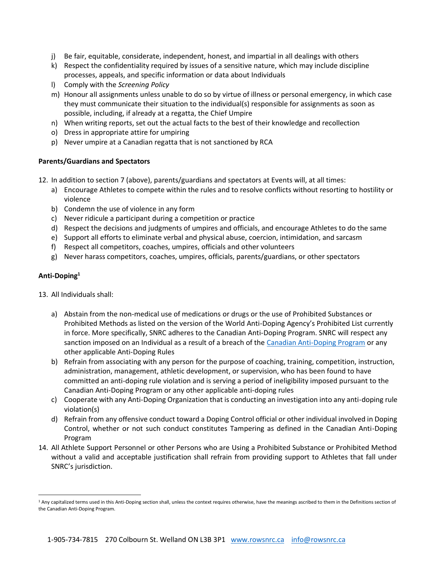- j) Be fair, equitable, considerate, independent, honest, and impartial in all dealings with others
- k) Respect the confidentiality required by issues of a sensitive nature, which may include discipline processes, appeals, and specific information or data about Individuals
- l) Comply with the *Screening Policy*
- m) Honour all assignments unless unable to do so by virtue of illness or personal emergency, in which case they must communicate their situation to the individual(s) responsible for assignments as soon as possible, including, if already at a regatta, the Chief Umpire
- n) When writing reports, set out the actual facts to the best of their knowledge and recollection
- o) Dress in appropriate attire for umpiring
- p) Never umpire at a Canadian regatta that is not sanctioned by RCA

#### **Parents/Guardians and Spectators**

- 12. In addition to section 7 (above), parents/guardians and spectators at Events will, at all times:
	- a) Encourage Athletes to compete within the rules and to resolve conflicts without resorting to hostility or violence
	- b) Condemn the use of violence in any form
	- c) Never ridicule a participant during a competition or practice
	- d) Respect the decisions and judgments of umpires and officials, and encourage Athletes to do the same
	- e) Support all efforts to eliminate verbal and physical abuse, coercion, intimidation, and sarcasm
	- f) Respect all competitors, coaches, umpires, officials and other volunteers
	- g) Never harass competitors, coaches, umpires, officials, parents/guardians, or other spectators

#### **Anti-Doping<sup>1</sup>**

- 13. All Individuals shall:
	- a) Abstain from the non-medical use of medications or drugs or the use of Prohibited Substances or Prohibited Methods as listed on the version of the World Anti-Doping Agency's Prohibited List currently in force. More specifically, SNRC adheres to the Canadian Anti-Doping Program. SNRC will respect any sanction imposed on an Individual as a result of a breach of the [Canadian Anti-Doping Program](https://cces.ca/sites/default/files/content/docs/pdf/2021-cces-policy-cadp-2021-final-draft-e.pdf) or any other applicable Anti-Doping Rules
	- b) Refrain from associating with any person for the purpose of coaching, training, competition, instruction, administration, management, athletic development, or supervision, who has been found to have committed an anti-doping rule violation and is serving a period of ineligibility imposed pursuant to the Canadian Anti-Doping Program or any other applicable anti-doping rules
	- c) Cooperate with any Anti-Doping Organization that is conducting an investigation into any anti-doping rule violation(s)
	- d) Refrain from any offensive conduct toward a Doping Control official or other individual involved in Doping Control, whether or not such conduct constitutes Tampering as defined in the Canadian Anti-Doping Program
- 14. All Athlete Support Personnel or other Persons who are Using a Prohibited Substance or Prohibited Method without a valid and acceptable justification shall refrain from providing support to Athletes that fall under SNRC's jurisdiction.

<sup>&</sup>lt;sup>1</sup> Any capitalized terms used in this Anti-Doping section shall, unless the context requires otherwise, have the meanings ascribed to them in the Definitions section of the Canadian Anti-Doping Program.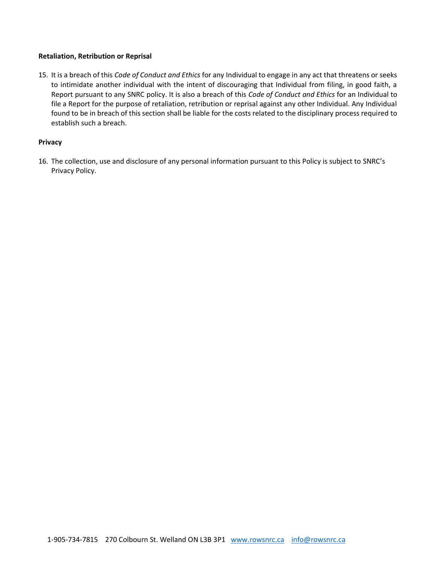#### **Retaliation, Retribution or Reprisal**

15. It is a breach of this *Code of Conduct and Ethics* for any Individual to engage in any act that threatens or seeks to intimidate another individual with the intent of discouraging that Individual from filing, in good faith, a Report pursuant to any SNRC policy. It is also a breach of this *Code of Conduct and Ethics* for an Individual to file a Report for the purpose of retaliation, retribution or reprisal against any other Individual. Any Individual found to be in breach of this section shall be liable for the costs related to the disciplinary process required to establish such a breach.

#### **Privacy**

16. The collection, use and disclosure of any personal information pursuant to this Policy is subject to SNRC's Privacy Policy.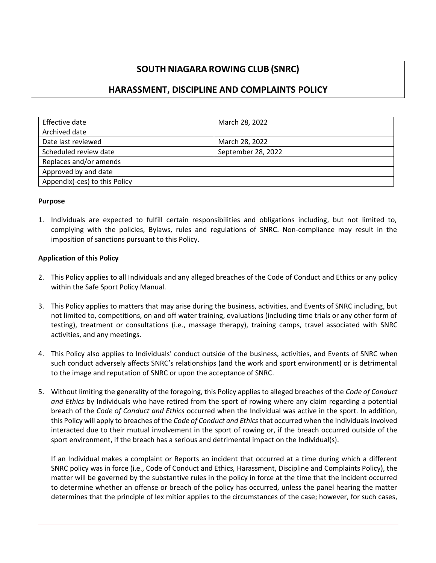## **SOUTH NIAGARA ROWING CLUB (SNRC)**

## **HARASSMENT, DISCIPLINE AND COMPLAINTS POLICY**

<span id="page-22-0"></span>

| Effective date                | March 28, 2022     |
|-------------------------------|--------------------|
| Archived date                 |                    |
| Date last reviewed            | March 28, 2022     |
| Scheduled review date         | September 28, 2022 |
| Replaces and/or amends        |                    |
| Approved by and date          |                    |
| Appendix(-ces) to this Policy |                    |

### **Purpose**

1. Individuals are expected to fulfill certain responsibilities and obligations including, but not limited to, complying with the policies, Bylaws, rules and regulations of SNRC. Non-compliance may result in the imposition of sanctions pursuant to this Policy.

### **Application of this Policy**

- 2. This Policy applies to all Individuals and any alleged breaches of the Code of Conduct and Ethics or any policy within the Safe Sport Policy Manual.
- 3. This Policy applies to matters that may arise during the business, activities, and Events of SNRC including, but not limited to, competitions, on and off water training, evaluations (including time trials or any other form of testing), treatment or consultations (i.e., massage therapy), training camps, travel associated with SNRC activities, and any meetings.
- 4. This Policy also applies to Individuals' conduct outside of the business, activities, and Events of SNRC when such conduct adversely affects SNRC's relationships (and the work and sport environment) or is detrimental to the image and reputation of SNRC or upon the acceptance of SNRC.
- 5. Without limiting the generality of the foregoing, this Policy applies to alleged breaches of the *Code of Conduct and Ethics* by Individuals who have retired from the sport of rowing where any claim regarding a potential breach of the *Code of Conduct and Ethics* occurred when the Individual was active in the sport. In addition, this Policy will apply to breaches of the *Code of Conduct and Ethics* that occurred when the Individuals involved interacted due to their mutual involvement in the sport of rowing or, if the breach occurred outside of the sport environment, if the breach has a serious and detrimental impact on the Individual(s).

If an Individual makes a complaint or Reports an incident that occurred at a time during which a different SNRC policy was in force (i.e., Code of Conduct and Ethics, Harassment, Discipline and Complaints Policy), the matter will be governed by the substantive rules in the policy in force at the time that the incident occurred to determine whether an offense or breach of the policy has occurred, unless the panel hearing the matter determines that the principle of lex mitior applies to the circumstances of the case; however, for such cases,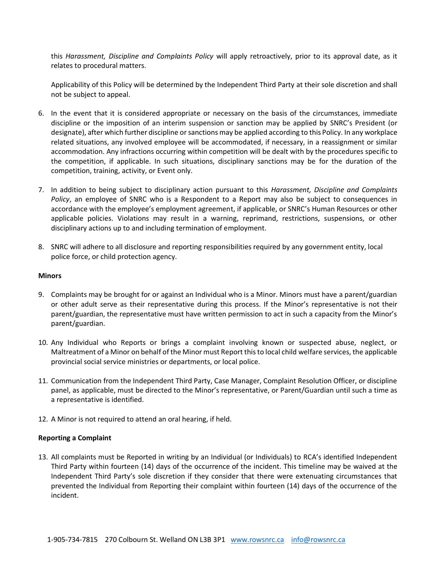this *Harassment, Discipline and Complaints Policy* will apply retroactively, prior to its approval date, as it relates to procedural matters.

Applicability of this Policy will be determined by the Independent Third Party at their sole discretion and shall not be subject to appeal.

- 6. In the event that it is considered appropriate or necessary on the basis of the circumstances, immediate discipline or the imposition of an interim suspension or sanction may be applied by SNRC's President (or designate), after which further discipline or sanctions may be applied according to this Policy. In any workplace related situations, any involved employee will be accommodated, if necessary, in a reassignment or similar accommodation. Any infractions occurring within competition will be dealt with by the procedures specific to the competition, if applicable. In such situations, disciplinary sanctions may be for the duration of the competition, training, activity, or Event only.
- 7. In addition to being subject to disciplinary action pursuant to this *Harassment, Discipline and Complaints Policy*, an employee of SNRC who is a Respondent to a Report may also be subject to consequences in accordance with the employee's employment agreement, if applicable, or SNRC's Human Resources or other applicable policies. Violations may result in a warning, reprimand, restrictions, suspensions, or other disciplinary actions up to and including termination of employment.
- 8. SNRC will adhere to all disclosure and reporting responsibilities required by any government entity, local police force, or child protection agency.

#### **Minors**

- 9. Complaints may be brought for or against an Individual who is a Minor. Minors must have a parent/guardian or other adult serve as their representative during this process. If the Minor's representative is not their parent/guardian, the representative must have written permission to act in such a capacity from the Minor's parent/guardian.
- 10. Any Individual who Reports or brings a complaint involving known or suspected abuse, neglect, or Maltreatment of a Minor on behalf of the Minor must Report this to local child welfare services, the applicable provincial social service ministries or departments, or local police.
- 11. Communication from the Independent Third Party, Case Manager, Complaint Resolution Officer, or discipline panel, as applicable, must be directed to the Minor's representative, or Parent/Guardian until such a time as a representative is identified.
- 12. A Minor is not required to attend an oral hearing, if held.

### **Reporting a Complaint**

13. All complaints must be Reported in writing by an Individual (or Individuals) to RCA's identified Independent Third Party within fourteen (14) days of the occurrence of the incident. This timeline may be waived at the Independent Third Party's sole discretion if they consider that there were extenuating circumstances that prevented the Individual from Reporting their complaint within fourteen (14) days of the occurrence of the incident.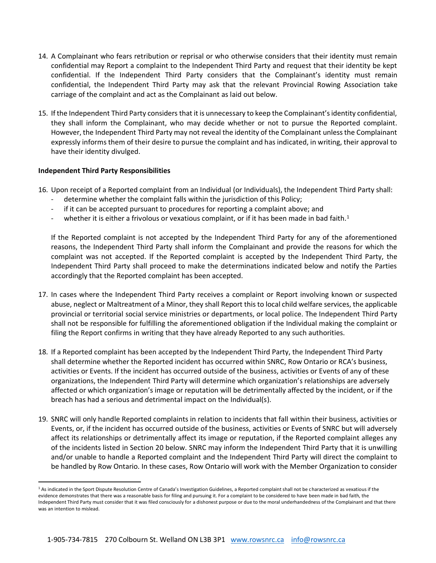- 14. A Complainant who fears retribution or reprisal or who otherwise considers that their identity must remain confidential may Report a complaint to the Independent Third Party and request that their identity be kept confidential. If the Independent Third Party considers that the Complainant's identity must remain confidential, the Independent Third Party may ask that the relevant Provincial Rowing Association take carriage of the complaint and act as the Complainant as laid out below.
- 15. If the Independent Third Party considers that it is unnecessary to keep the Complainant's identity confidential, they shall inform the Complainant, who may decide whether or not to pursue the Reported complaint. However, the Independent Third Party may not reveal the identity of the Complainant unless the Complainant expressly informs them of their desire to pursue the complaint and has indicated, in writing, their approval to have their identity divulged.

#### **Independent Third Party Responsibilities**

- 16. Upon receipt of a Reported complaint from an Individual (or Individuals), the Independent Third Party shall:
	- determine whether the complaint falls within the jurisdiction of this Policy;
	- if it can be accepted pursuant to procedures for reporting a complaint above; and
	- whether it is either a frivolous or vexatious complaint, or if it has been made in bad faith.<sup>1</sup>

If the Reported complaint is not accepted by the Independent Third Party for any of the aforementioned reasons, the Independent Third Party shall inform the Complainant and provide the reasons for which the complaint was not accepted. If the Reported complaint is accepted by the Independent Third Party, the Independent Third Party shall proceed to make the determinations indicated below and notify the Parties accordingly that the Reported complaint has been accepted.

- 17. In cases where the Independent Third Party receives a complaint or Report involving known or suspected abuse, neglect or Maltreatment of a Minor, they shall Report this to local child welfare services, the applicable provincial or territorial social service ministries or departments, or local police. The Independent Third Party shall not be responsible for fulfilling the aforementioned obligation if the Individual making the complaint or filing the Report confirms in writing that they have already Reported to any such authorities.
- 18. If a Reported complaint has been accepted by the Independent Third Party, the Independent Third Party shall determine whether the Reported incident has occurred within SNRC, Row Ontario or RCA's business, activities or Events. If the incident has occurred outside of the business, activities or Events of any of these organizations, the Independent Third Party will determine which organization's relationships are adversely affected or which organization's image or reputation will be detrimentally affected by the incident, or if the breach has had a serious and detrimental impact on the Individual(s).
- 19. SNRC will only handle Reported complaints in relation to incidents that fall within their business, activities or Events, or, if the incident has occurred outside of the business, activities or Events of SNRC but will adversely affect its relationships or detrimentally affect its image or reputation, if the Reported complaint alleges any of the incidents listed in Section 20 below. SNRC may inform the Independent Third Party that it is unwilling and/or unable to handle a Reported complaint and the Independent Third Party will direct the complaint to be handled by Row Ontario. In these cases, Row Ontario will work with the Member Organization to consider

<sup>&</sup>lt;sup>1</sup> As indicated in the Sport Dispute Resolution Centre of Canada's Investigation Guidelines, a Reported complaint shall not be characterized as vexatious if the evidence demonstrates that there was a reasonable basis for filing and pursuing it. For a complaint to be considered to have been made in bad faith, the Independent Third Party must consider that it was filed consciously for a dishonest purpose or due to the moral underhandedness of the Complainant and that there was an intention to mislead.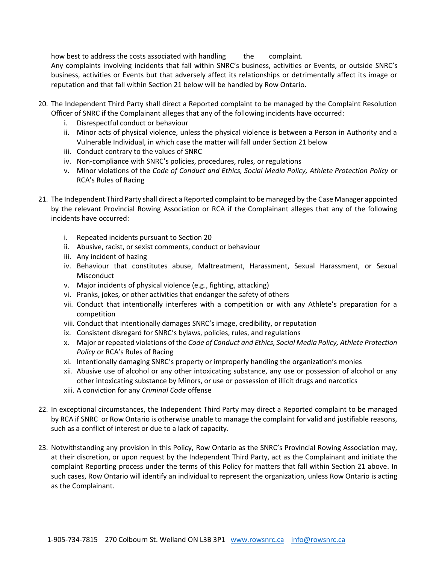how best to address the costs associated with handling the complaint.

Any complaints involving incidents that fall within SNRC's business, activities or Events, or outside SNRC's business, activities or Events but that adversely affect its relationships or detrimentally affect its image or reputation and that fall within Section 21 below will be handled by Row Ontario.

- 20. The Independent Third Party shall direct a Reported complaint to be managed by the Complaint Resolution Officer of SNRC if the Complainant alleges that any of the following incidents have occurred:
	- i. Disrespectful conduct or behaviour
	- ii. Minor acts of physical violence, unless the physical violence is between a Person in Authority and a Vulnerable Individual, in which case the matter will fall under Section 21 below
	- iii. Conduct contrary to the values of SNRC
	- iv. Non-compliance with SNRC's policies, procedures, rules, or regulations
	- v. Minor violations of the *Code of Conduct and Ethics, Social Media Policy, Athlete Protection Policy* or RCA's Rules of Racing
- 21. The Independent Third Party shall direct a Reported complaint to be managed by the Case Manager appointed by the relevant Provincial Rowing Association or RCA if the Complainant alleges that any of the following incidents have occurred:
	- i. Repeated incidents pursuant to Section 20
	- ii. Abusive, racist, or sexist comments, conduct or behaviour
	- iii. Any incident of hazing
	- iv. Behaviour that constitutes abuse, Maltreatment, Harassment, Sexual Harassment, or Sexual Misconduct
	- v. Major incidents of physical violence (e.g., fighting, attacking)
	- vi. Pranks, jokes, or other activities that endanger the safety of others
	- vii. Conduct that intentionally interferes with a competition or with any Athlete's preparation for a competition
	- viii. Conduct that intentionally damages SNRC's image, credibility, or reputation
	- ix. Consistent disregard for SNRC's bylaws, policies, rules, and regulations
	- x. Major or repeated violations of the *Code of Conduct and Ethics, Social Media Policy, Athlete Protection Policy* or RCA's Rules of Racing
	- xi. Intentionally damaging SNRC's property or improperly handling the organization's monies
	- xii. Abusive use of alcohol or any other intoxicating substance, any use or possession of alcohol or any other intoxicating substance by Minors, or use or possession of illicit drugs and narcotics
	- xiii. A conviction for any *Criminal Code* offense
- 22. In exceptional circumstances, the Independent Third Party may direct a Reported complaint to be managed by RCA if SNRC or Row Ontario is otherwise unable to manage the complaint for valid and justifiable reasons, such as a conflict of interest or due to a lack of capacity.
- 23. Notwithstanding any provision in this Policy, Row Ontario as the SNRC's Provincial Rowing Association may, at their discretion, or upon request by the Independent Third Party, act as the Complainant and initiate the complaint Reporting process under the terms of this Policy for matters that fall within Section 21 above. In such cases, Row Ontario will identify an individual to represent the organization, unless Row Ontario is acting as the Complainant.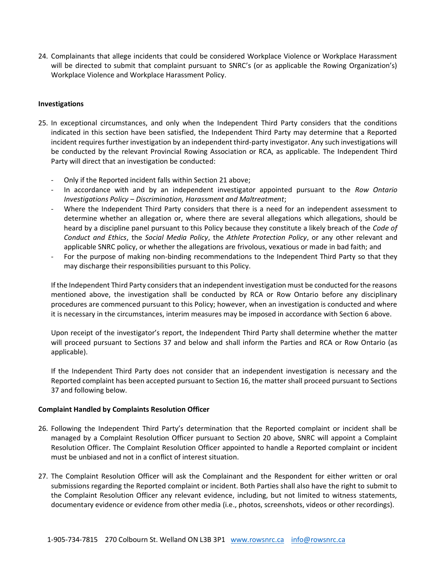24. Complainants that allege incidents that could be considered Workplace Violence or Workplace Harassment will be directed to submit that complaint pursuant to SNRC's (or as applicable the Rowing Organization's) Workplace Violence and Workplace Harassment Policy.

#### **Investigations**

- 25. In exceptional circumstances, and only when the Independent Third Party considers that the conditions indicated in this section have been satisfied, the Independent Third Party may determine that a Reported incident requires further investigation by an independent third-party investigator. Any such investigations will be conducted by the relevant Provincial Rowing Association or RCA, as applicable. The Independent Third Party will direct that an investigation be conducted:
	- Only if the Reported incident falls within Section 21 above;
	- In accordance with and by an independent investigator appointed pursuant to the *Row Ontario Investigations Policy – Discrimination, Harassment and Maltreatment*;
	- Where the Independent Third Party considers that there is a need for an independent assessment to determine whether an allegation or, where there are several allegations which allegations, should be heard by a discipline panel pursuant to this Policy because they constitute a likely breach of the *Code of Conduct and Ethics*, the *Social Media Policy*, the *Athlete Protection Policy*, or any other relevant and applicable SNRC policy, or whether the allegations are frivolous, vexatious or made in bad faith; and
	- For the purpose of making non-binding recommendations to the Independent Third Party so that they may discharge their responsibilities pursuant to this Policy.

If the Independent Third Party considers that an independent investigation must be conducted for the reasons mentioned above, the investigation shall be conducted by RCA or Row Ontario before any disciplinary procedures are commenced pursuant to this Policy; however, when an investigation is conducted and where it is necessary in the circumstances, interim measures may be imposed in accordance with Section 6 above.

Upon receipt of the investigator's report, the Independent Third Party shall determine whether the matter will proceed pursuant to Sections 37 and below and shall inform the Parties and RCA or Row Ontario (as applicable).

If the Independent Third Party does not consider that an independent investigation is necessary and the Reported complaint has been accepted pursuant to Section 16, the matter shall proceed pursuant to Sections 37 and following below.

#### **Complaint Handled by Complaints Resolution Officer**

- 26. Following the Independent Third Party's determination that the Reported complaint or incident shall be managed by a Complaint Resolution Officer pursuant to Section 20 above, SNRC will appoint a Complaint Resolution Officer. The Complaint Resolution Officer appointed to handle a Reported complaint or incident must be unbiased and not in a conflict of interest situation.
- 27. The Complaint Resolution Officer will ask the Complainant and the Respondent for either written or oral submissions regarding the Reported complaint or incident. Both Parties shall also have the right to submit to the Complaint Resolution Officer any relevant evidence, including, but not limited to witness statements, documentary evidence or evidence from other media (i.e., photos, screenshots, videos or other recordings).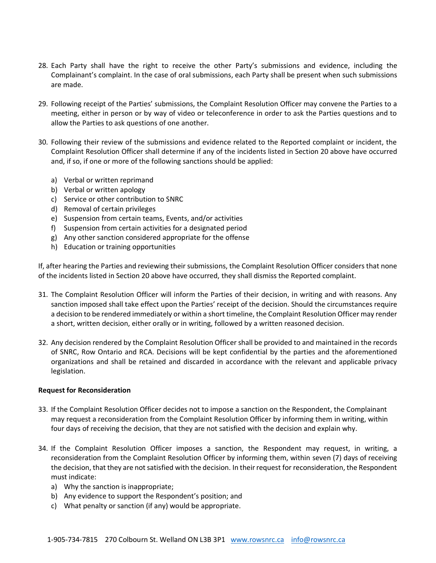- 28. Each Party shall have the right to receive the other Party's submissions and evidence, including the Complainant's complaint. In the case of oral submissions, each Party shall be present when such submissions are made.
- 29. Following receipt of the Parties' submissions, the Complaint Resolution Officer may convene the Parties to a meeting, either in person or by way of video or teleconference in order to ask the Parties questions and to allow the Parties to ask questions of one another.
- 30. Following their review of the submissions and evidence related to the Reported complaint or incident, the Complaint Resolution Officer shall determine if any of the incidents listed in Section 20 above have occurred and, if so, if one or more of the following sanctions should be applied:
	- a) Verbal or written reprimand
	- b) Verbal or written apology
	- c) Service or other contribution to SNRC
	- d) Removal of certain privileges
	- e) Suspension from certain teams, Events, and/or activities
	- f) Suspension from certain activities for a designated period
	- g) Any other sanction considered appropriate for the offense
	- h) Education or training opportunities

If, after hearing the Parties and reviewing their submissions, the Complaint Resolution Officer considers that none of the incidents listed in Section 20 above have occurred, they shall dismiss the Reported complaint.

- 31. The Complaint Resolution Officer will inform the Parties of their decision, in writing and with reasons. Any sanction imposed shall take effect upon the Parties' receipt of the decision. Should the circumstances require a decision to be rendered immediately or within a short timeline, the Complaint Resolution Officer may render a short, written decision, either orally or in writing, followed by a written reasoned decision.
- 32. Any decision rendered by the Complaint Resolution Officer shall be provided to and maintained in the records of SNRC, Row Ontario and RCA. Decisions will be kept confidential by the parties and the aforementioned organizations and shall be retained and discarded in accordance with the relevant and applicable privacy legislation.

### **Request for Reconsideration**

- 33. If the Complaint Resolution Officer decides not to impose a sanction on the Respondent, the Complainant may request a reconsideration from the Complaint Resolution Officer by informing them in writing, within four days of receiving the decision, that they are not satisfied with the decision and explain why.
- 34. If the Complaint Resolution Officer imposes a sanction, the Respondent may request, in writing, a reconsideration from the Complaint Resolution Officer by informing them, within seven (7) days of receiving the decision, that they are not satisfied with the decision. In their request for reconsideration, the Respondent must indicate:
	- a) Why the sanction is inappropriate;
	- b) Any evidence to support the Respondent's position; and
	- c) What penalty or sanction (if any) would be appropriate.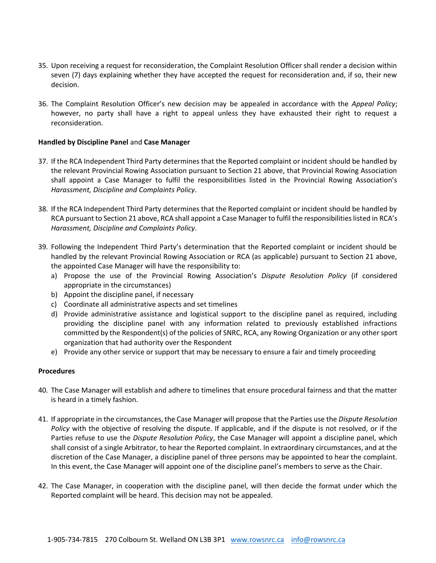- 35. Upon receiving a request for reconsideration, the Complaint Resolution Officer shall render a decision within seven (7) days explaining whether they have accepted the request for reconsideration and, if so, their new decision.
- 36. The Complaint Resolution Officer's new decision may be appealed in accordance with the *Appeal Policy*; however, no party shall have a right to appeal unless they have exhausted their right to request a reconsideration.

#### **Handled by Discipline Panel** and **Case Manager**

- 37. If the RCA Independent Third Party determines that the Reported complaint or incident should be handled by the relevant Provincial Rowing Association pursuant to Section 21 above, that Provincial Rowing Association shall appoint a Case Manager to fulfil the responsibilities listed in the Provincial Rowing Association's *Harassment, Discipline and Complaints Policy*.
- 38. If the RCA Independent Third Party determines that the Reported complaint or incident should be handled by RCA pursuant to Section 21 above, RCA shall appoint a Case Manager to fulfil the responsibilities listed in RCA's *Harassment, Discipline and Complaints Policy*.
- 39. Following the Independent Third Party's determination that the Reported complaint or incident should be handled by the relevant Provincial Rowing Association or RCA (as applicable) pursuant to Section 21 above, the appointed Case Manager will have the responsibility to:
	- a) Propose the use of the Provincial Rowing Association's *Dispute Resolution Policy* (if considered appropriate in the circumstances)
	- b) Appoint the discipline panel, if necessary
	- c) Coordinate all administrative aspects and set timelines
	- d) Provide administrative assistance and logistical support to the discipline panel as required, including providing the discipline panel with any information related to previously established infractions committed by the Respondent(s) of the policies of SNRC, RCA, any Rowing Organization or any other sport organization that had authority over the Respondent
	- e) Provide any other service or support that may be necessary to ensure a fair and timely proceeding

### **Procedures**

- 40. The Case Manager will establish and adhere to timelines that ensure procedural fairness and that the matter is heard in a timely fashion.
- 41. If appropriate in the circumstances, the Case Manager will propose that the Parties use the *Dispute Resolution Policy* with the objective of resolving the dispute. If applicable, and if the dispute is not resolved, or if the Parties refuse to use the *Dispute Resolution Policy*, the Case Manager will appoint a discipline panel, which shall consist of a single Arbitrator, to hear the Reported complaint. In extraordinary circumstances, and at the discretion of the Case Manager, a discipline panel of three persons may be appointed to hear the complaint. In this event, the Case Manager will appoint one of the discipline panel's members to serve as the Chair.
- 42. The Case Manager, in cooperation with the discipline panel, will then decide the format under which the Reported complaint will be heard. This decision may not be appealed.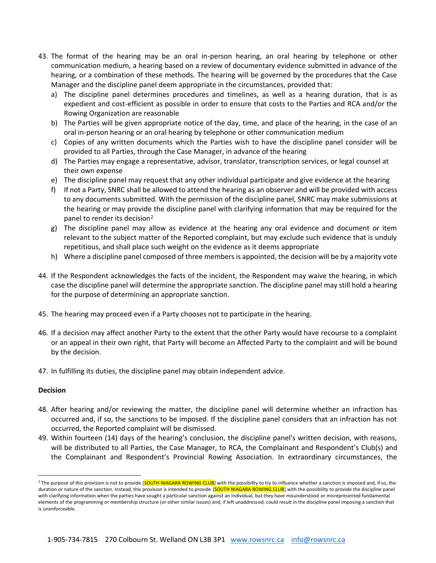- 43. The format of the hearing may be an oral in-person hearing, an oral hearing by telephone or other communication medium, a hearing based on a review of documentary evidence submitted in advance of the hearing, or a combination of these methods. The hearing will be governed by the procedures that the Case Manager and the discipline panel deem appropriate in the circumstances, provided that:
	- a) The discipline panel determines procedures and timelines, as well as a hearing duration, that is as expedient and cost-efficient as possible in order to ensure that costs to the Parties and RCA and/or the Rowing Organization are reasonable
	- b) The Parties will be given appropriate notice of the day, time, and place of the hearing, in the case of an oral in-person hearing or an oral hearing by telephone or other communication medium
	- c) Copies of any written documents which the Parties wish to have the discipline panel consider will be provided to all Parties, through the Case Manager, in advance of the hearing
	- d) The Parties may engage a representative, advisor, translator, transcription services, or legal counsel at their own expense
	- e) The discipline panel may request that any other individual participate and give evidence at the hearing
	- f) If not a Party, SNRC shall be allowed to attend the hearing as an observer and will be provided with access to any documents submitted. With the permission of the discipline panel, SNRC may make submissions at the hearing or may provide the discipline panel with clarifying information that may be required for the panel to render its decision<sup>2</sup>
	- g) The discipline panel may allow as evidence at the hearing any oral evidence and document or item relevant to the subject matter of the Reported complaint, but may exclude such evidence that is unduly repetitious, and shall place such weight on the evidence as it deems appropriate
	- h) Where a discipline panel composed of three members is appointed, the decision will be by a majority vote
- 44. If the Respondent acknowledges the facts of the incident, the Respondent may waive the hearing, in which case the discipline panel will determine the appropriate sanction. The discipline panel may still hold a hearing for the purpose of determining an appropriate sanction.
- 45. The hearing may proceed even if a Party chooses not to participate in the hearing.
- 46. If a decision may affect another Party to the extent that the other Party would have recourse to a complaint or an appeal in their own right, that Party will become an Affected Party to the complaint and will be bound by the decision.
- 47. In fulfilling its duties, the discipline panel may obtain independent advice.

#### **Decision**

- 48. After hearing and/or reviewing the matter, the discipline panel will determine whether an infraction has occurred and, if so, the sanctions to be imposed. If the discipline panel considers that an infraction has not occurred, the Reported complaint will be dismissed.
- 49. Within fourteen (14) days of the hearing's conclusion, the discipline panel's written decision, with reasons, will be distributed to all Parties, the Case Manager, to RCA, the Complainant and Respondent's Club(s) and the Complainant and Respondent's Provincial Rowing Association. In extraordinary circumstances, the

<sup>&</sup>lt;sup>2</sup> The purpose of this provision is not to provide [SOUTH NIAGARA ROWING CLUB] with the possibility to try to influence whether a sanction is imposed and, if so, the duration or nature of the sanction. Instead, this provision is intended to provide [SOUTH NIAGARA ROWING CLUB] with the possibility to provide the discipline panel with clarifying information when the parties have sought a particular sanction against an Individual, but they have misunderstood or misrepresented fundamental elements of the programming or membership structure (or other similar issues) and, if left unaddressed, could result in the discipline panel imposing a sanction that is unenforceable.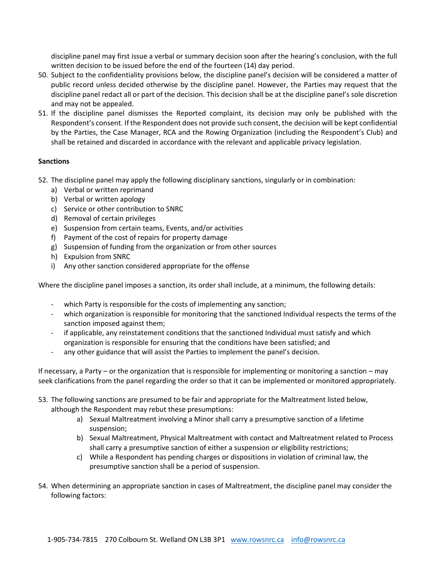discipline panel may first issue a verbal or summary decision soon after the hearing's conclusion, with the full written decision to be issued before the end of the fourteen (14) day period.

- 50. Subject to the confidentiality provisions below, the discipline panel's decision will be considered a matter of public record unless decided otherwise by the discipline panel. However, the Parties may request that the discipline panel redact all or part of the decision. This decision shall be at the discipline panel's sole discretion and may not be appealed.
- 51. If the discipline panel dismisses the Reported complaint, its decision may only be published with the Respondent's consent. If the Respondent does not provide such consent, the decision will be kept confidential by the Parties, the Case Manager, RCA and the Rowing Organization (including the Respondent's Club) and shall be retained and discarded in accordance with the relevant and applicable privacy legislation.

### **Sanctions**

- 52. The discipline panel may apply the following disciplinary sanctions, singularly or in combination:
	- a) Verbal or written reprimand
	- b) Verbal or written apology
	- c) Service or other contribution to SNRC
	- d) Removal of certain privileges
	- e) Suspension from certain teams, Events, and/or activities
	- f) Payment of the cost of repairs for property damage
	- g) Suspension of funding from the organization or from other sources
	- h) Expulsion from SNRC
	- i) Any other sanction considered appropriate for the offense

Where the discipline panel imposes a sanction, its order shall include, at a minimum, the following details:

- which Party is responsible for the costs of implementing any sanction;
- which organization is responsible for monitoring that the sanctioned Individual respects the terms of the sanction imposed against them;
- if applicable, any reinstatement conditions that the sanctioned Individual must satisfy and which organization is responsible for ensuring that the conditions have been satisfied; and
- any other guidance that will assist the Parties to implement the panel's decision.

If necessary, a Party – or the organization that is responsible for implementing or monitoring a sanction – may seek clarifications from the panel regarding the order so that it can be implemented or monitored appropriately.

- 53. The following sanctions are presumed to be fair and appropriate for the Maltreatment listed below, although the Respondent may rebut these presumptions:
	- a) Sexual Maltreatment involving a Minor shall carry a presumptive sanction of a lifetime suspension;
	- b) Sexual Maltreatment, Physical Maltreatment with contact and Maltreatment related to Process shall carry a presumptive sanction of either a suspension or eligibility restrictions;
	- c) While a Respondent has pending charges or dispositions in violation of criminal law, the presumptive sanction shall be a period of suspension.
- 54. When determining an appropriate sanction in cases of Maltreatment, the discipline panel may consider the following factors: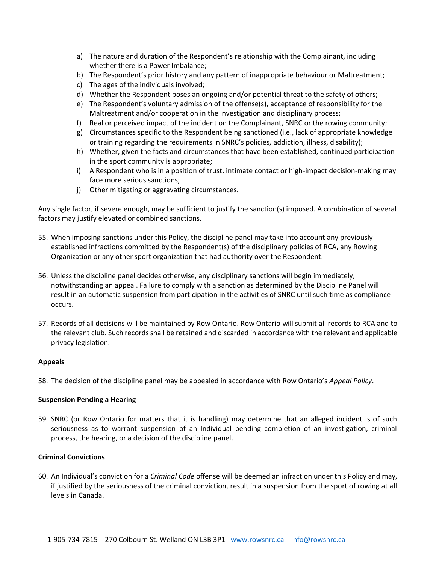- a) The nature and duration of the Respondent's relationship with the Complainant, including whether there is a Power Imbalance;
- b) The Respondent's prior history and any pattern of inappropriate behaviour or Maltreatment;
- c) The ages of the individuals involved;
- d) Whether the Respondent poses an ongoing and/or potential threat to the safety of others;
- e) The Respondent's voluntary admission of the offense(s), acceptance of responsibility for the Maltreatment and/or cooperation in the investigation and disciplinary process;
- f) Real or perceived impact of the incident on the Complainant, SNRC or the rowing community;
- g) Circumstances specific to the Respondent being sanctioned (i.e., lack of appropriate knowledge or training regarding the requirements in SNRC's policies, addiction, illness, disability);
- h) Whether, given the facts and circumstances that have been established, continued participation in the sport community is appropriate;
- i) A Respondent who is in a position of trust, intimate contact or high-impact decision-making may face more serious sanctions;
- j) Other mitigating or aggravating circumstances.

Any single factor, if severe enough, may be sufficient to justify the sanction(s) imposed. A combination of several factors may justify elevated or combined sanctions.

- 55. When imposing sanctions under this Policy, the discipline panel may take into account any previously established infractions committed by the Respondent(s) of the disciplinary policies of RCA, any Rowing Organization or any other sport organization that had authority over the Respondent.
- 56. Unless the discipline panel decides otherwise, any disciplinary sanctions will begin immediately, notwithstanding an appeal. Failure to comply with a sanction as determined by the Discipline Panel will result in an automatic suspension from participation in the activities of SNRC until such time as compliance occurs.
- 57. Records of all decisions will be maintained by Row Ontario. Row Ontario will submit all records to RCA and to the relevant club. Such records shall be retained and discarded in accordance with the relevant and applicable privacy legislation.

### **Appeals**

58. The decision of the discipline panel may be appealed in accordance with Row Ontario's *Appeal Policy*.

### **Suspension Pending a Hearing**

59. SNRC (or Row Ontario for matters that it is handling) may determine that an alleged incident is of such seriousness as to warrant suspension of an Individual pending completion of an investigation, criminal process, the hearing, or a decision of the discipline panel.

### **Criminal Convictions**

60. An Individual's conviction for a *Criminal Code* offense will be deemed an infraction under this Policy and may, if justified by the seriousness of the criminal conviction, result in a suspension from the sport of rowing at all levels in Canada.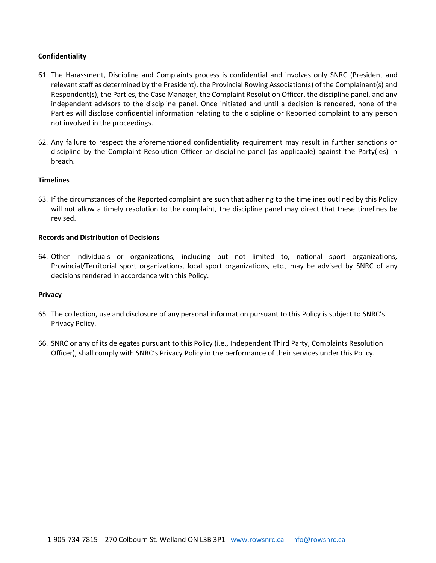### **Confidentiality**

- 61. The Harassment, Discipline and Complaints process is confidential and involves only SNRC (President and relevant staff as determined by the President), the Provincial Rowing Association(s) of the Complainant(s) and Respondent(s), the Parties, the Case Manager, the Complaint Resolution Officer, the discipline panel, and any independent advisors to the discipline panel. Once initiated and until a decision is rendered, none of the Parties will disclose confidential information relating to the discipline or Reported complaint to any person not involved in the proceedings.
- 62. Any failure to respect the aforementioned confidentiality requirement may result in further sanctions or discipline by the Complaint Resolution Officer or discipline panel (as applicable) against the Party(ies) in breach.

### **Timelines**

63. If the circumstances of the Reported complaint are such that adhering to the timelines outlined by this Policy will not allow a timely resolution to the complaint, the discipline panel may direct that these timelines be revised.

#### **Records and Distribution of Decisions**

64. Other individuals or organizations, including but not limited to, national sport organizations, Provincial/Territorial sport organizations, local sport organizations, etc., may be advised by SNRC of any decisions rendered in accordance with this Policy.

#### **Privacy**

- 65. The collection, use and disclosure of any personal information pursuant to this Policy is subject to SNRC's Privacy Policy.
- 66. SNRC or any of its delegates pursuant to this Policy (i.e., Independent Third Party, Complaints Resolution Officer), shall comply with SNRC's Privacy Policy in the performance of their services under this Policy.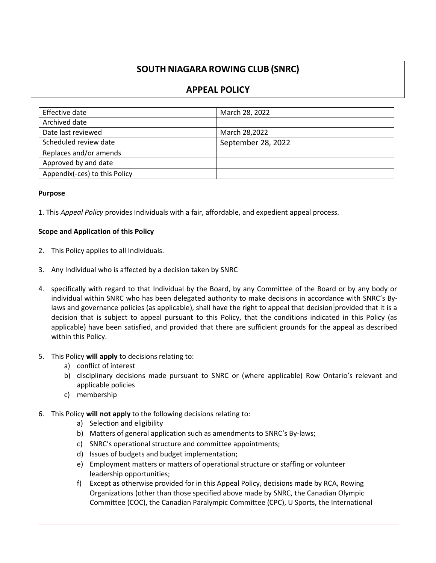## **SOUTH NIAGARA ROWING CLUB (SNRC)**

## **APPEAL POLICY**

<span id="page-33-0"></span>

| Effective date                | March 28, 2022     |
|-------------------------------|--------------------|
| Archived date                 |                    |
| Date last reviewed            | March 28,2022      |
| Scheduled review date         | September 28, 2022 |
| Replaces and/or amends        |                    |
| Approved by and date          |                    |
| Appendix(-ces) to this Policy |                    |

### **Purpose**

1. This *Appeal Policy* provides Individuals with a fair, affordable, and expedient appeal process.

### **Scope and Application of this Policy**

- 2. This Policy applies to all Individuals.
- 3. Any Individual who is affected by a decision taken by SNRC
- 4. specifically with regard to that Individual by the Board, by any Committee of the Board or by any body or individual within SNRC who has been delegated authority to make decisions in accordance with SNRC's Bylaws and governance policies (as applicable), shall have the right to appeal that decision provided that it is a decision that is subject to appeal pursuant to this Policy, that the conditions indicated in this Policy (as applicable) have been satisfied, and provided that there are sufficient grounds for the appeal as described within this Policy.
- 5. This Policy **will apply** to decisions relating to:
	- a) conflict of interest
	- b) disciplinary decisions made pursuant to SNRC or (where applicable) Row Ontario's relevant and applicable policies
	- c) membership
- 6. This Policy **will not apply** to the following decisions relating to:
	- a) Selection and eligibility
	- b) Matters of general application such as amendments to SNRC's By-laws;
	- c) SNRC's operational structure and committee appointments;
	- d) Issues of budgets and budget implementation;
	- e) Employment matters or matters of operational structure or staffing or volunteer leadership opportunities;
	- f) Except as otherwise provided for in this Appeal Policy, decisions made by RCA, Rowing Organizations (other than those specified above made by SNRC, the Canadian Olympic Committee (COC), the Canadian Paralympic Committee (CPC), U Sports, the International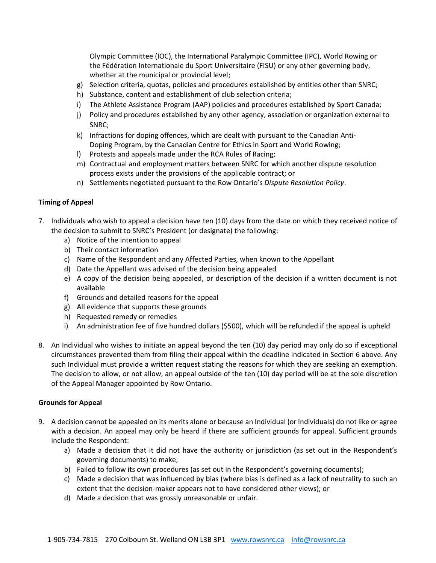Olympic Committee (IOC), the International Paralympic Committee (IPC), World Rowing or the Fédération Internationale du Sport Universitaire (FISU) or any other governing body, whether at the municipal or provincial level;

- g) Selection criteria, quotas, policies and procedures established by entities other than SNRC;
- h) Substance, content and establishment of club selection criteria;
- i) The Athlete Assistance Program (AAP) policies and procedures established by Sport Canada;
- j) Policy and procedures established by any other agency, association or organization external to SNRC;
- k) Infractions for doping offences, which are dealt with pursuant to the Canadian Anti-Doping Program, by the Canadian Centre for Ethics in Sport and World Rowing;
- l) Protests and appeals made under the RCA Rules of Racing;
- m) Contractual and employment matters between SNRC for which another dispute resolution process exists under the provisions of the applicable contract; or
- n) Settlements negotiated pursuant to the Row Ontario's *Dispute Resolution Policy*.

### **Timing of Appeal**

- 7. Individuals who wish to appeal a decision have ten (10) days from the date on which they received notice of the decision to submit to SNRC's President (or designate) the following:
	- a) Notice of the intention to appeal
	- b) Their contact information
	- c) Name of the Respondent and any Affected Parties, when known to the Appellant
	- d) Date the Appellant was advised of the decision being appealed
	- e) A copy of the decision being appealed, or description of the decision if a written document is not available
	- f) Grounds and detailed reasons for the appeal
	- g) All evidence that supports these grounds
	- h) Requested remedy or remedies
	- i) An administration fee of five hundred dollars (\$500), which will be refunded if the appeal is upheld
- 8. An Individual who wishes to initiate an appeal beyond the ten (10) day period may only do so if exceptional circumstances prevented them from filing their appeal within the deadline indicated in Section 6 above. Any such Individual must provide a written request stating the reasons for which they are seeking an exemption. The decision to allow, or not allow, an appeal outside of the ten (10) day period will be at the sole discretion of the Appeal Manager appointed by Row Ontario.

### **Grounds for Appeal**

- 9. A decision cannot be appealed on its merits alone or because an Individual (or Individuals) do not like or agree with a decision. An appeal may only be heard if there are sufficient grounds for appeal. Sufficient grounds include the Respondent:
	- a) Made a decision that it did not have the authority or jurisdiction (as set out in the Respondent's governing documents) to make;
	- b) Failed to follow its own procedures (as set out in the Respondent's governing documents);
	- c) Made a decision that was influenced by bias (where bias is defined as a lack of neutrality to such an extent that the decision-maker appears not to have considered other views); or
	- d) Made a decision that was grossly unreasonable or unfair.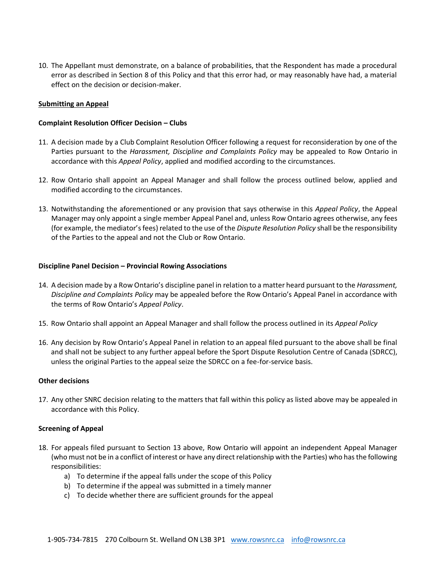10. The Appellant must demonstrate, on a balance of probabilities, that the Respondent has made a procedural error as described in Section 8 of this Policy and that this error had, or may reasonably have had, a material effect on the decision or decision-maker.

#### **Submitting an Appeal**

#### **Complaint Resolution Officer Decision – Clubs**

- 11. A decision made by a Club Complaint Resolution Officer following a request for reconsideration by one of the Parties pursuant to the *Harassment, Discipline and Complaints Policy* may be appealed to Row Ontario in accordance with this *Appeal Policy*, applied and modified according to the circumstances.
- 12. Row Ontario shall appoint an Appeal Manager and shall follow the process outlined below, applied and modified according to the circumstances.
- 13. Notwithstanding the aforementioned or any provision that says otherwise in this *Appeal Policy*, the Appeal Manager may only appoint a single member Appeal Panel and, unless Row Ontario agrees otherwise, any fees (for example, the mediator's fees) related to the use of the *Dispute Resolution Policy* shall be the responsibility of the Parties to the appeal and not the Club or Row Ontario.

#### **Discipline Panel Decision – Provincial Rowing Associations**

- 14. A decision made by a Row Ontario's discipline panel in relation to a matter heard pursuant to the *Harassment, Discipline and Complaints Policy* may be appealed before the Row Ontario's Appeal Panel in accordance with the terms of Row Ontario's *Appeal Policy*.
- 15. Row Ontario shall appoint an Appeal Manager and shall follow the process outlined in its *Appeal Policy*
- 16. Any decision by Row Ontario's Appeal Panel in relation to an appeal filed pursuant to the above shall be final and shall not be subject to any further appeal before the Sport Dispute Resolution Centre of Canada (SDRCC), unless the original Parties to the appeal seize the SDRCC on a fee-for-service basis.

#### **Other decisions**

17. Any other SNRC decision relating to the matters that fall within this policy as listed above may be appealed in accordance with this Policy.

#### **Screening of Appeal**

- 18. For appeals filed pursuant to Section 13 above, Row Ontario will appoint an independent Appeal Manager (who must not be in a conflict of interest or have any direct relationship with the Parties) who has the following responsibilities:
	- a) To determine if the appeal falls under the scope of this Policy
	- b) To determine if the appeal was submitted in a timely manner
	- c) To decide whether there are sufficient grounds for the appeal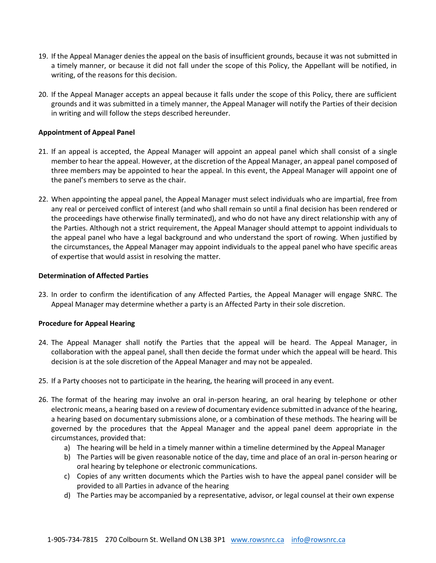- 19. If the Appeal Manager denies the appeal on the basis of insufficient grounds, because it was not submitted in a timely manner, or because it did not fall under the scope of this Policy, the Appellant will be notified, in writing, of the reasons for this decision.
- 20. If the Appeal Manager accepts an appeal because it falls under the scope of this Policy, there are sufficient grounds and it was submitted in a timely manner, the Appeal Manager will notify the Parties of their decision in writing and will follow the steps described hereunder.

#### **Appointment of Appeal Panel**

- 21. If an appeal is accepted, the Appeal Manager will appoint an appeal panel which shall consist of a single member to hear the appeal. However, at the discretion of the Appeal Manager, an appeal panel composed of three members may be appointed to hear the appeal. In this event, the Appeal Manager will appoint one of the panel's members to serve as the chair.
- 22. When appointing the appeal panel, the Appeal Manager must select individuals who are impartial, free from any real or perceived conflict of interest (and who shall remain so until a final decision has been rendered or the proceedings have otherwise finally terminated), and who do not have any direct relationship with any of the Parties. Although not a strict requirement, the Appeal Manager should attempt to appoint individuals to the appeal panel who have a legal background and who understand the sport of rowing. When justified by the circumstances, the Appeal Manager may appoint individuals to the appeal panel who have specific areas of expertise that would assist in resolving the matter.

#### **Determination of Affected Parties**

23. In order to confirm the identification of any Affected Parties, the Appeal Manager will engage SNRC. The Appeal Manager may determine whether a party is an Affected Party in their sole discretion.

#### **Procedure for Appeal Hearing**

- 24. The Appeal Manager shall notify the Parties that the appeal will be heard. The Appeal Manager, in collaboration with the appeal panel, shall then decide the format under which the appeal will be heard. This decision is at the sole discretion of the Appeal Manager and may not be appealed.
- 25. If a Party chooses not to participate in the hearing, the hearing will proceed in any event.
- 26. The format of the hearing may involve an oral in-person hearing, an oral hearing by telephone or other electronic means, a hearing based on a review of documentary evidence submitted in advance of the hearing, a hearing based on documentary submissions alone, or a combination of these methods. The hearing will be governed by the procedures that the Appeal Manager and the appeal panel deem appropriate in the circumstances, provided that:
	- a) The hearing will be held in a timely manner within a timeline determined by the Appeal Manager
	- b) The Parties will be given reasonable notice of the day, time and place of an oral in-person hearing or oral hearing by telephone or electronic communications.
	- c) Copies of any written documents which the Parties wish to have the appeal panel consider will be provided to all Parties in advance of the hearing
	- d) The Parties may be accompanied by a representative, advisor, or legal counsel at their own expense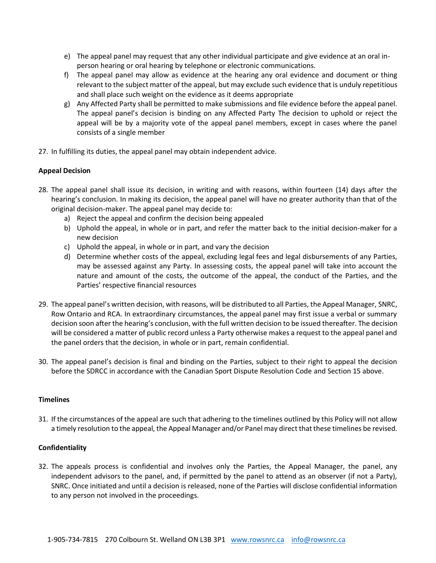- e) The appeal panel may request that any other individual participate and give evidence at an oral inperson hearing or oral hearing by telephone or electronic communications.
- f) The appeal panel may allow as evidence at the hearing any oral evidence and document or thing relevant to the subject matter of the appeal, but may exclude such evidence that is unduly repetitious and shall place such weight on the evidence as it deems appropriate
- g) Any Affected Party shall be permitted to make submissions and file evidence before the appeal panel. The appeal panel's decision is binding on any Affected Party The decision to uphold or reject the appeal will be by a majority vote of the appeal panel members, except in cases where the panel consists of a single member
- 27. In fulfilling its duties, the appeal panel may obtain independent advice.

### **Appeal Decision**

- 28. The appeal panel shall issue its decision, in writing and with reasons, within fourteen (14) days after the hearing's conclusion. In making its decision, the appeal panel will have no greater authority than that of the original decision-maker. The appeal panel may decide to:
	- a) Reject the appeal and confirm the decision being appealed
	- b) Uphold the appeal, in whole or in part, and refer the matter back to the initial decision-maker for a new decision
	- c) Uphold the appeal, in whole or in part, and vary the decision
	- d) Determine whether costs of the appeal, excluding legal fees and legal disbursements of any Parties, may be assessed against any Party. In assessing costs, the appeal panel will take into account the nature and amount of the costs, the outcome of the appeal, the conduct of the Parties, and the Parties' respective financial resources
- 29. The appeal panel's written decision, with reasons, will be distributed to all Parties, the Appeal Manager, SNRC, Row Ontario and RCA. In extraordinary circumstances, the appeal panel may first issue a verbal or summary decision soon after the hearing's conclusion, with the full written decision to be issued thereafter. The decision will be considered a matter of public record unless a Party otherwise makes a request to the appeal panel and the panel orders that the decision, in whole or in part, remain confidential.
- 30. The appeal panel's decision is final and binding on the Parties, subject to their right to appeal the decision before the SDRCC in accordance with the Canadian Sport Dispute Resolution Code and Section 15 above.

### **Timelines**

31. If the circumstances of the appeal are such that adhering to the timelines outlined by this Policy will not allow a timely resolution to the appeal, the Appeal Manager and/or Panel may direct that these timelines be revised.

### **Confidentiality**

32. The appeals process is confidential and involves only the Parties, the Appeal Manager, the panel, any independent advisors to the panel, and, if permitted by the panel to attend as an observer (if not a Party), SNRC. Once initiated and until a decision is released, none of the Parties will disclose confidential information to any person not involved in the proceedings.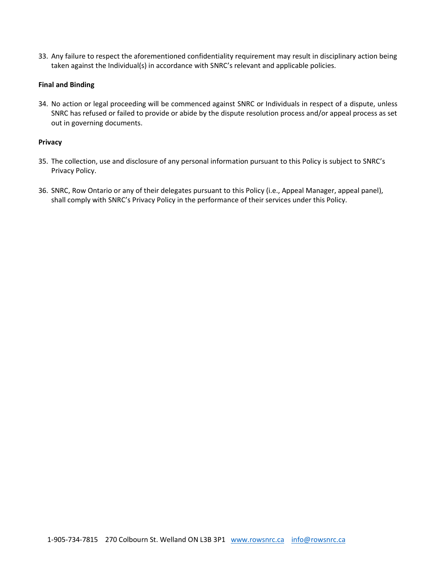33. Any failure to respect the aforementioned confidentiality requirement may result in disciplinary action being taken against the Individual(s) in accordance with SNRC's relevant and applicable policies.

#### **Final and Binding**

34. No action or legal proceeding will be commenced against SNRC or Individuals in respect of a dispute, unless SNRC has refused or failed to provide or abide by the dispute resolution process and/or appeal process as set out in governing documents.

#### **Privacy**

- 35. The collection, use and disclosure of any personal information pursuant to this Policy is subject to SNRC's Privacy Policy.
- 36. SNRC, Row Ontario or any of their delegates pursuant to this Policy (i.e., Appeal Manager, appeal panel), shall comply with SNRC's Privacy Policy in the performance of their services under this Policy.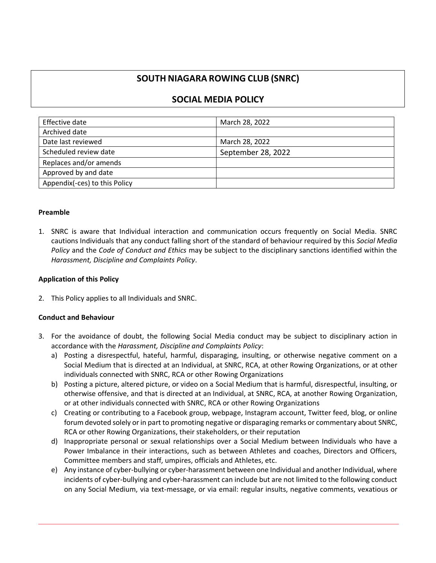## **SOUTH NIAGARA ROWING CLUB (SNRC)**

## **SOCIAL MEDIA POLICY**

<span id="page-39-0"></span>

| Effective date                | March 28, 2022     |
|-------------------------------|--------------------|
| Archived date                 |                    |
| Date last reviewed            | March 28, 2022     |
| Scheduled review date         | September 28, 2022 |
| Replaces and/or amends        |                    |
| Approved by and date          |                    |
| Appendix(-ces) to this Policy |                    |

### **Preamble**

1. SNRC is aware that Individual interaction and communication occurs frequently on Social Media. SNRC cautions Individuals that any conduct falling short of the standard of behaviour required by this *Social Media Policy* and the *Code of Conduct and Ethics* may be subject to the disciplinary sanctions identified within the *Harassment, Discipline and Complaints Policy*.

### **Application of this Policy**

2. This Policy applies to all Individuals and SNRC.

### **Conduct and Behaviour**

- 3. For the avoidance of doubt, the following Social Media conduct may be subject to disciplinary action in accordance with the *Harassment, Discipline and Complaints Policy*:
	- a) Posting a disrespectful, hateful, harmful, disparaging, insulting, or otherwise negative comment on a Social Medium that is directed at an Individual, at SNRC, RCA, at other Rowing Organizations, or at other individuals connected with SNRC, RCA or other Rowing Organizations
	- b) Posting a picture, altered picture, or video on a Social Medium that is harmful, disrespectful, insulting, or otherwise offensive, and that is directed at an Individual, at SNRC, RCA, at another Rowing Organization, or at other individuals connected with SNRC, RCA or other Rowing Organizations
	- c) Creating or contributing to a Facebook group, webpage, Instagram account, Twitter feed, blog, or online forum devoted solely or in part to promoting negative or disparaging remarks or commentary about SNRC, RCA or other Rowing Organizations, their stakeholders, or their reputation
	- d) Inappropriate personal or sexual relationships over a Social Medium between Individuals who have a Power Imbalance in their interactions, such as between Athletes and coaches, Directors and Officers, Committee members and staff, umpires, officials and Athletes, etc.
	- e) Any instance of cyber-bullying or cyber-harassment between one Individual and another Individual, where incidents of cyber-bullying and cyber-harassment can include but are not limited to the following conduct on any Social Medium, via text-message, or via email: regular insults, negative comments, vexatious or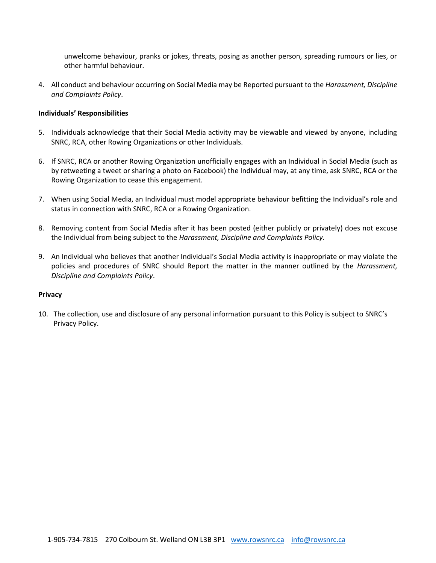unwelcome behaviour, pranks or jokes, threats, posing as another person, spreading rumours or lies, or other harmful behaviour.

4. All conduct and behaviour occurring on Social Media may be Reported pursuant to the *Harassment, Discipline and Complaints Policy*.

#### **Individuals' Responsibilities**

- 5. Individuals acknowledge that their Social Media activity may be viewable and viewed by anyone, including SNRC, RCA, other Rowing Organizations or other Individuals.
- 6. If SNRC, RCA or another Rowing Organization unofficially engages with an Individual in Social Media (such as by retweeting a tweet or sharing a photo on Facebook) the Individual may, at any time, ask SNRC, RCA or the Rowing Organization to cease this engagement.
- 7. When using Social Media, an Individual must model appropriate behaviour befitting the Individual's role and status in connection with SNRC, RCA or a Rowing Organization.
- 8. Removing content from Social Media after it has been posted (either publicly or privately) does not excuse the Individual from being subject to the *Harassment, Discipline and Complaints Policy.*
- 9. An Individual who believes that another Individual's Social Media activity is inappropriate or may violate the policies and procedures of SNRC should Report the matter in the manner outlined by the *Harassment, Discipline and Complaints Policy*.

#### **Privacy**

10. The collection, use and disclosure of any personal information pursuant to this Policy is subject to SNRC's Privacy Policy.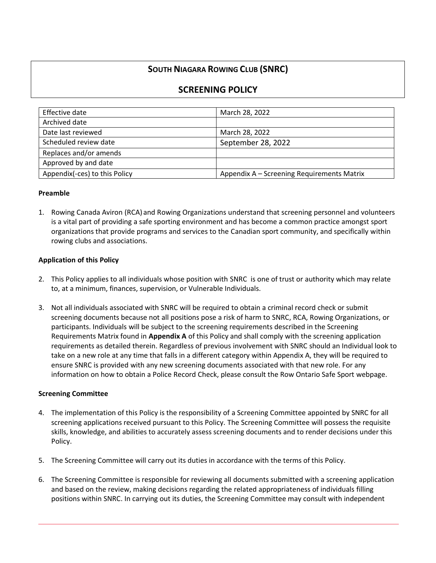## **SOUTH NIAGARA ROWING CLUB (SNRC)**

## **SCREENING POLICY**

<span id="page-41-0"></span>

| Effective date                | March 28, 2022                             |  |
|-------------------------------|--------------------------------------------|--|
| Archived date                 |                                            |  |
| Date last reviewed            | March 28, 2022                             |  |
| Scheduled review date         | September 28, 2022                         |  |
| Replaces and/or amends        |                                            |  |
| Approved by and date          |                                            |  |
| Appendix(-ces) to this Policy | Appendix A – Screening Requirements Matrix |  |

### **Preamble**

1. Rowing Canada Aviron (RCA) and Rowing Organizations understand that screening personnel and volunteers is a vital part of providing a safe sporting environment and has become a common practice amongst sport organizations that provide programs and services to the Canadian sport community, and specifically within rowing clubs and associations.

### **Application of this Policy**

- 2. This Policy applies to all individuals whose position with SNRC is one of trust or authority which may relate to, at a minimum, finances, supervision, or Vulnerable Individuals.
- 3. Not all individuals associated with SNRC will be required to obtain a criminal record check or submit screening documents because not all positions pose a risk of harm to SNRC, RCA, Rowing Organizations, or participants. Individuals will be subject to the screening requirements described in the Screening Requirements Matrix found in **Appendix A** of this Policy and shall comply with the screening application requirements as detailed therein. Regardless of previous involvement with SNRC should an Individual look to take on a new role at any time that falls in a different category within Appendix A, they will be required to ensure SNRC is provided with any new screening documents associated with that new role. For any information on how to obtain a Police Record Check, please consult the Row Ontario Safe Sport webpage.

### **Screening Committee**

- 4. The implementation of this Policy is the responsibility of a Screening Committee appointed by SNRC for all screening applications received pursuant to this Policy. The Screening Committee will possess the requisite skills, knowledge, and abilities to accurately assess screening documents and to render decisions under this Policy.
- 5. The Screening Committee will carry out its duties in accordance with the terms of this Policy.
- 6. The Screening Committee is responsible for reviewing all documents submitted with a screening application and based on the review, making decisions regarding the related appropriateness of individuals filling positions within SNRC. In carrying out its duties, the Screening Committee may consult with independent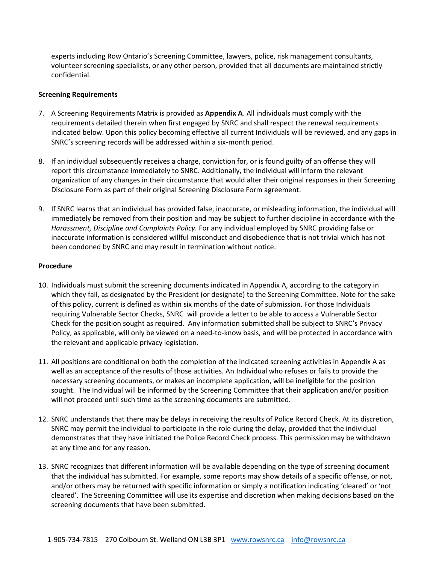experts including Row Ontario's Screening Committee, lawyers, police, risk management consultants, volunteer screening specialists, or any other person, provided that all documents are maintained strictly confidential.

#### **Screening Requirements**

- 7. A Screening Requirements Matrix is provided as **Appendix A**. All individuals must comply with the requirements detailed therein when first engaged by SNRC and shall respect the renewal requirements indicated below. Upon this policy becoming effective all current Individuals will be reviewed, and any gaps in SNRC's screening records will be addressed within a six-month period.
- 8. If an individual subsequently receives a charge, conviction for, or is found guilty of an offense they will report this circumstance immediately to SNRC. Additionally, the individual will inform the relevant organization of any changes in their circumstance that would alter their original responses in their Screening Disclosure Form as part of their original Screening Disclosure Form agreement.
- 9. If SNRC learns that an individual has provided false, inaccurate, or misleading information, the individual will immediately be removed from their position and may be subject to further discipline in accordance with the *Harassment, Discipline and Complaints Policy.* For any individual employed by SNRC providing false or inaccurate information is considered willful misconduct and disobedience that is not trivial which has not been condoned by SNRC and may result in termination without notice.

### **Procedure**

- 10. Individuals must submit the screening documents indicated in Appendix A, according to the category in which they fall, as designated by the President (or designate) to the Screening Committee. Note for the sake of this policy, current is defined as within six months of the date of submission. For those Individuals requiring Vulnerable Sector Checks, SNRC will provide a letter to be able to access a Vulnerable Sector Check for the position sought as required. Any information submitted shall be subject to SNRC's Privacy Policy, as applicable, will only be viewed on a need-to-know basis, and will be protected in accordance with the relevant and applicable privacy legislation.
- 11. All positions are conditional on both the completion of the indicated screening activities in Appendix A as well as an acceptance of the results of those activities. An Individual who refuses or fails to provide the necessary screening documents, or makes an incomplete application, will be ineligible for the position sought. The Individual will be informed by the Screening Committee that their application and/or position will not proceed until such time as the screening documents are submitted.
- 12. SNRC understands that there may be delays in receiving the results of Police Record Check. At its discretion, SNRC may permit the individual to participate in the role during the delay, provided that the individual demonstrates that they have initiated the Police Record Check process. This permission may be withdrawn at any time and for any reason.
- 13. SNRC recognizes that different information will be available depending on the type of screening document that the individual has submitted. For example, some reports may show details of a specific offense, or not, and/or others may be returned with specific information or simply a notification indicating 'cleared' or 'not cleared'. The Screening Committee will use its expertise and discretion when making decisions based on the screening documents that have been submitted.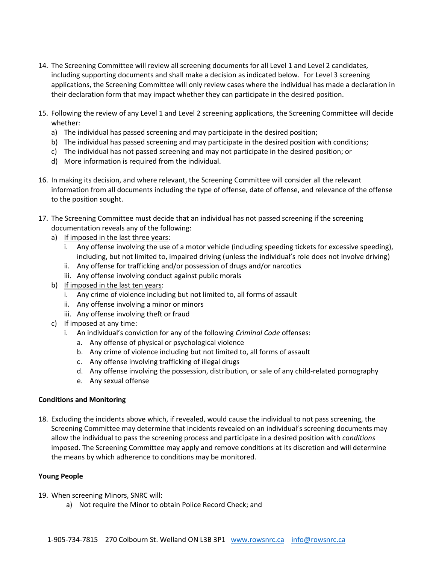- 14. The Screening Committee will review all screening documents for all Level 1 and Level 2 candidates, including supporting documents and shall make a decision as indicated below. For Level 3 screening applications, the Screening Committee will only review cases where the individual has made a declaration in their declaration form that may impact whether they can participate in the desired position.
- 15. Following the review of any Level 1 and Level 2 screening applications, the Screening Committee will decide whether:
	- a) The individual has passed screening and may participate in the desired position;
	- b) The individual has passed screening and may participate in the desired position with conditions;
	- c) The individual has not passed screening and may not participate in the desired position; or
	- d) More information is required from the individual.
- 16. In making its decision, and where relevant, the Screening Committee will consider all the relevant information from all documents including the type of offense, date of offense, and relevance of the offense to the position sought.
- 17. The Screening Committee must decide that an individual has not passed screening if the screening documentation reveals any of the following:
	- a) If imposed in the last three years:
		- i. Any offense involving the use of a motor vehicle (including speeding tickets for excessive speeding), including, but not limited to, impaired driving (unless the individual's role does not involve driving)
		- ii. Any offense for trafficking and/or possession of drugs and/or narcotics
		- iii. Any offense involving conduct against public morals
	- b) If imposed in the last ten years:
		- i. Any crime of violence including but not limited to, all forms of assault
		- ii. Any offense involving a minor or minors
		- iii. Any offense involving theft or fraud
	- c) If imposed at any time:
		- i. An individual's conviction for any of the following *Criminal Code* offenses:
			- a. Any offense of physical or psychological violence
			- b. Any crime of violence including but not limited to, all forms of assault
			- c. Any offense involving trafficking of illegal drugs
			- d. Any offense involving the possession, distribution, or sale of any child-related pornography
			- e. Any sexual offense

### **Conditions and Monitoring**

18. Excluding the incidents above which, if revealed, would cause the individual to not pass screening, the Screening Committee may determine that incidents revealed on an individual's screening documents may allow the individual to pass the screening process and participate in a desired position with *conditions* imposed. The Screening Committee may apply and remove conditions at its discretion and will determine the means by which adherence to conditions may be monitored.

### **Young People**

- 19. When screening Minors, SNRC will:
	- a) Not require the Minor to obtain Police Record Check; and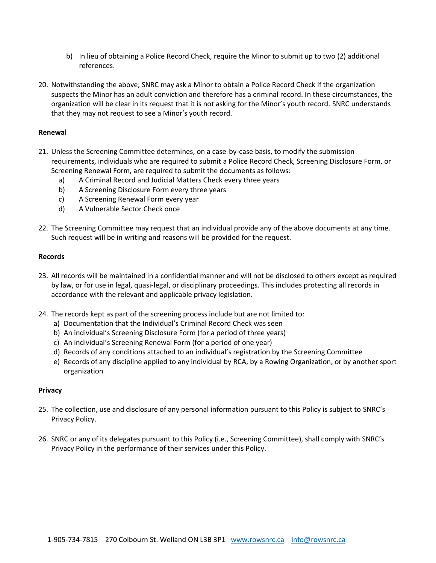- b) In lieu of obtaining a Police Record Check, require the Minor to submit up to two (2) additional references.
- 20. Notwithstanding the above, SNRC may ask a Minor to obtain a Police Record Check if the organization suspects the Minor has an adult conviction and therefore has a criminal record. In these circumstances, the organization will be clear in its request that it is not asking for the Minor's youth record. SNRC understands that they may not request to see a Minor's youth record.

#### **Renewal**

- 21. Unless the Screening Committee determines, on a case-by-case basis, to modify the submission requirements, individuals who are required to submit a Police Record Check, Screening Disclosure Form, or Screening Renewal Form, are required to submit the documents as follows:
	- a) A Criminal Record and Judicial Matters Check every three years
	- b) A Screening Disclosure Form every three years
	- c) A Screening Renewal Form every year
	- d) A Vulnerable Sector Check once
- 22. The Screening Committee may request that an individual provide any of the above documents at any time. Such request will be in writing and reasons will be provided for the request.

#### **Records**

- 23. All records will be maintained in a confidential manner and will not be disclosed to others except as required by law, or for use in legal, quasi-legal, or disciplinary proceedings. This includes protecting all records in accordance with the relevant and applicable privacy legislation.
- 24. The records kept as part of the screening process include but are not limited to:
	- a) Documentation that the Individual's Criminal Record Check was seen
	- b) An individual's Screening Disclosure Form (for a period of three years)
	- c) An individual's Screening Renewal Form (for a period of one year)
	- d) Records of any conditions attached to an individual's registration by the Screening Committee
	- e) Records of any discipline applied to any individual by RCA, by a Rowing Organization, or by another sport organization

#### **Privacy**

- 25. The collection, use and disclosure of any personal information pursuant to this Policy is subject to SNRC's Privacy Policy.
- 26. SNRC or any of its delegates pursuant to this Policy (i.e., Screening Committee), shall comply with SNRC's Privacy Policy in the performance of their services under this Policy.